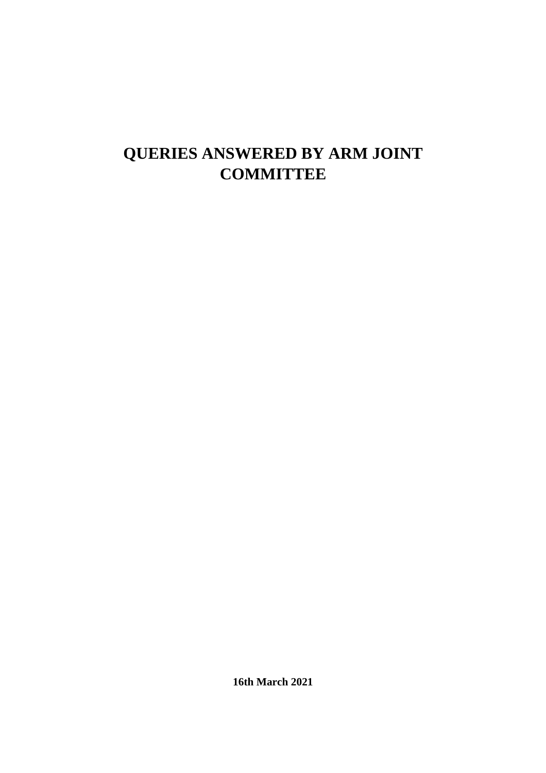# **QUERIES ANSWERED BY ARM JOINT COMMITTEE**

**16th March 2021**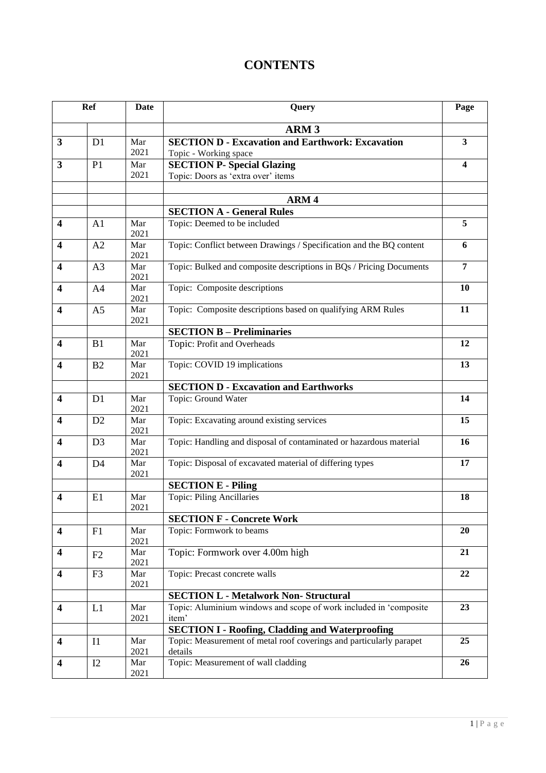# **CONTENTS**

| Ref                     |                | Date        | Query                                                                          |                |  |  |
|-------------------------|----------------|-------------|--------------------------------------------------------------------------------|----------------|--|--|
|                         |                |             | <b>ARM3</b>                                                                    |                |  |  |
| 3                       | D1             | Mar         | <b>SECTION D - Excavation and Earthwork: Excavation</b>                        | $\mathbf{3}$   |  |  |
|                         |                | 2021        | Topic - Working space                                                          |                |  |  |
| 3                       | P <sub>1</sub> | Mar<br>2021 | <b>SECTION P- Special Glazing</b><br>Topic: Doors as 'extra over' items        | 4              |  |  |
|                         |                |             |                                                                                |                |  |  |
|                         |                |             | ARM <sub>4</sub>                                                               |                |  |  |
|                         |                |             | <b>SECTION A - General Rules</b>                                               |                |  |  |
| $\overline{\mathbf{4}}$ | A1             | Mar<br>2021 | Topic: Deemed to be included                                                   | 5              |  |  |
| $\overline{\mathbf{4}}$ | A2             | Mar<br>2021 | Topic: Conflict between Drawings / Specification and the BQ content            | 6              |  |  |
| $\overline{\mathbf{4}}$ | A <sub>3</sub> | Mar<br>2021 | Topic: Bulked and composite descriptions in BQs / Pricing Documents            | $\overline{7}$ |  |  |
| $\overline{\mathbf{4}}$ | A <sub>4</sub> | Mar<br>2021 | Topic: Composite descriptions                                                  | <b>10</b>      |  |  |
| $\overline{\mathbf{4}}$ | A <sub>5</sub> | Mar<br>2021 | Topic: Composite descriptions based on qualifying ARM Rules                    | 11             |  |  |
|                         |                |             | <b>SECTION B - Preliminaries</b>                                               |                |  |  |
| $\overline{\mathbf{4}}$ | B1             | Mar<br>2021 | Topic: Profit and Overheads                                                    | 12             |  |  |
| $\overline{\mathbf{4}}$ | B <sub>2</sub> | Mar<br>2021 | Topic: COVID 19 implications                                                   | 13             |  |  |
|                         |                |             | <b>SECTION D - Excavation and Earthworks</b>                                   |                |  |  |
| $\overline{\mathbf{4}}$ | D1             | Mar<br>2021 | Topic: Ground Water                                                            | 14             |  |  |
| $\overline{\mathbf{4}}$ | D2             | Mar<br>2021 | Topic: Excavating around existing services                                     | 15             |  |  |
| 4                       | D <sub>3</sub> | Mar<br>2021 | Topic: Handling and disposal of contaminated or hazardous material             | <b>16</b>      |  |  |
| $\overline{\mathbf{4}}$ | D <sub>4</sub> | Mar<br>2021 | Topic: Disposal of excavated material of differing types                       | 17             |  |  |
|                         |                |             | <b>SECTION E - Piling</b>                                                      |                |  |  |
| $\overline{\mathbf{4}}$ | E1             | Mar<br>2021 | Topic: Piling Ancillaries                                                      | 18             |  |  |
|                         |                |             | <b>SECTION F - Concrete Work</b>                                               |                |  |  |
| $\overline{\mathbf{4}}$ | F1             | Mar<br>2021 | Topic: Formwork to beams                                                       | 20             |  |  |
| $\overline{\mathbf{4}}$ | F2             | Mar<br>2021 | Topic: Formwork over 4.00m high                                                | 21             |  |  |
| 4                       | F <sub>3</sub> | Mar<br>2021 | Topic: Precast concrete walls                                                  | 22             |  |  |
|                         |                |             | <b>SECTION L - Metalwork Non- Structural</b>                                   |                |  |  |
| $\overline{\mathbf{4}}$ | L1             | Mar<br>2021 | Topic: Aluminium windows and scope of work included in 'composite<br>item'     | 23             |  |  |
|                         |                |             | <b>SECTION I - Roofing, Cladding and Waterproofing</b>                         | 25             |  |  |
| $\overline{\mathbf{4}}$ | I1             | Mar<br>2021 | Topic: Measurement of metal roof coverings and particularly parapet<br>details |                |  |  |
| 4                       | I2             | Mar<br>2021 | Topic: Measurement of wall cladding                                            | 26             |  |  |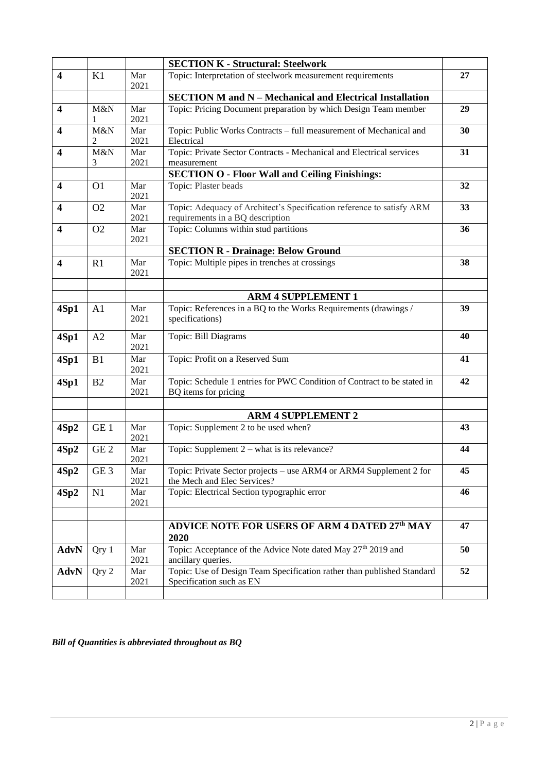|                                                                          |                                                                                                                                            | <b>SECTION K - Structural: Steelwork</b>                                                           |                                                                                                    |    |  |  |  |
|--------------------------------------------------------------------------|--------------------------------------------------------------------------------------------------------------------------------------------|----------------------------------------------------------------------------------------------------|----------------------------------------------------------------------------------------------------|----|--|--|--|
| $\overline{\mathbf{4}}$                                                  | Topic: Interpretation of steelwork measurement requirements<br>K1<br>Mar<br>2021                                                           |                                                                                                    | 27                                                                                                 |    |  |  |  |
|                                                                          |                                                                                                                                            |                                                                                                    | <b>SECTION M and N - Mechanical and Electrical Installation</b>                                    |    |  |  |  |
| $\overline{\mathbf{4}}$                                                  | M&N<br>1                                                                                                                                   | Mar<br>2021                                                                                        | Topic: Pricing Document preparation by which Design Team member                                    | 29 |  |  |  |
| $\overline{\mathbf{4}}$                                                  | M&N<br>2                                                                                                                                   | Mar<br>2021                                                                                        | Topic: Public Works Contracts - full measurement of Mechanical and<br>Electrical                   | 30 |  |  |  |
| 4                                                                        | M&N<br>3                                                                                                                                   | Topic: Private Sector Contracts - Mechanical and Electrical services<br>Mar<br>2021<br>measurement |                                                                                                    | 31 |  |  |  |
|                                                                          |                                                                                                                                            |                                                                                                    | <b>SECTION O - Floor Wall and Ceiling Finishings:</b>                                              |    |  |  |  |
| 4                                                                        | O <sub>1</sub>                                                                                                                             | Mar<br>2021                                                                                        | Topic: Plaster beads                                                                               |    |  |  |  |
| $\overline{\mathbf{4}}$                                                  | Topic: Adequacy of Architect's Specification reference to satisfy ARM<br>Mar<br>O <sub>2</sub><br>2021<br>requirements in a BQ description |                                                                                                    | 33                                                                                                 |    |  |  |  |
| $\overline{\mathbf{4}}$                                                  | Mar<br>Topic: Columns within stud partitions<br>O <sub>2</sub><br>2021                                                                     |                                                                                                    | 36                                                                                                 |    |  |  |  |
|                                                                          |                                                                                                                                            |                                                                                                    | <b>SECTION R - Drainage: Below Ground</b>                                                          |    |  |  |  |
| Topic: Multiple pipes in trenches at crossings<br>R1<br>Mar<br>4<br>2021 |                                                                                                                                            |                                                                                                    | 38                                                                                                 |    |  |  |  |
|                                                                          |                                                                                                                                            |                                                                                                    | <b>ARM 4 SUPPLEMENT 1</b>                                                                          |    |  |  |  |
| 4Sp1                                                                     | A1                                                                                                                                         | Mar<br>2021                                                                                        | Topic: References in a BQ to the Works Requirements (drawings /<br>specifications)                 | 39 |  |  |  |
| 4Sp1                                                                     | A2                                                                                                                                         | Mar<br>2021                                                                                        | Topic: Bill Diagrams                                                                               | 40 |  |  |  |
| 4Sp1                                                                     | B1                                                                                                                                         | Mar<br>2021                                                                                        | Topic: Profit on a Reserved Sum                                                                    | 41 |  |  |  |
| 4Sp1<br>B2<br>Mar<br>2021                                                |                                                                                                                                            |                                                                                                    | Topic: Schedule 1 entries for PWC Condition of Contract to be stated in<br>BQ items for pricing    | 42 |  |  |  |
|                                                                          |                                                                                                                                            |                                                                                                    |                                                                                                    |    |  |  |  |
| 4Sp2                                                                     | GE <sub>1</sub>                                                                                                                            | Mar<br>2021                                                                                        | <b>ARM 4 SUPPLEMENT 2</b><br>Topic: Supplement 2 to be used when?                                  |    |  |  |  |
| 4Sp2                                                                     | GE <sub>2</sub>                                                                                                                            | Mar<br>2021                                                                                        | Topic: Supplement $2$ – what is its relevance?                                                     |    |  |  |  |
| 4Sp2                                                                     | GE <sub>3</sub>                                                                                                                            | Mar<br>2021                                                                                        | Topic: Private Sector projects – use ARM4 or ARM4 Supplement 2 for<br>the Mech and Elec Services?  |    |  |  |  |
| 4Sp2                                                                     | Topic: Electrical Section typographic error<br>Mar<br>N1<br>2021                                                                           |                                                                                                    |                                                                                                    | 46 |  |  |  |
|                                                                          |                                                                                                                                            |                                                                                                    | ADVICE NOTE FOR USERS OF ARM 4 DATED 27th MAY<br>2020                                              |    |  |  |  |
| <b>AdvN</b>                                                              | Qry 1                                                                                                                                      | Mar<br>2021                                                                                        | Topic: Acceptance of the Advice Note dated May 27 <sup>th</sup> 2019 and<br>ancillary queries.     | 50 |  |  |  |
| <b>AdvN</b>                                                              | Qry 2                                                                                                                                      | Mar<br>2021                                                                                        | Topic: Use of Design Team Specification rather than published Standard<br>Specification such as EN | 52 |  |  |  |
|                                                                          |                                                                                                                                            |                                                                                                    |                                                                                                    |    |  |  |  |

*Bill of Quantities is abbreviated throughout as BQ*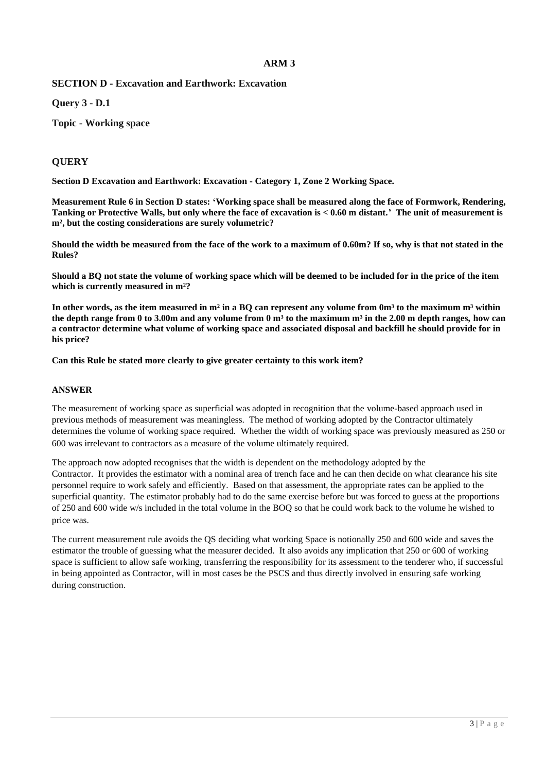**SECTION D - Excavation and Earthwork: Excavation**

**Query 3 - D.1**

**Topic - Working space**

# **QUERY**

**Section D Excavation and Earthwork: Excavation - Category 1, Zone 2 Working Space.**

**Measurement Rule 6 in Section D states: 'Working space shall be measured along the face of Formwork, Rendering, Tanking or Protective Walls, but only where the face of excavation is < 0.60 m distant.' The unit of measurement is m², but the costing considerations are surely volumetric?**

**Should the width be measured from the face of the work to a maximum of 0.60m? If so, why is that not stated in the Rules?**

**Should a BQ not state the volume of working space which will be deemed to be included for in the price of the item which is currently measured in m²?**

**In other words, as the item measured in m² in a BQ can represent any volume from 0m³ to the maximum m³ within**  the depth range from 0 to 3.00m and any volume from 0  $m<sup>3</sup>$  to the maximum  $m<sup>3</sup>$  in the 2.00 m depth ranges, how can **a contractor determine what volume of working space and associated disposal and backfill he should provide for in his price?**

**Can this Rule be stated more clearly to give greater certainty to this work item?**

#### **ANSWER**

The measurement of working space as superficial was adopted in recognition that the volume-based approach used in previous methods of measurement was meaningless. The method of working adopted by the Contractor ultimately determines the volume of working space required. Whether the width of working space was previously measured as 250 or 600 was irrelevant to contractors as a measure of the volume ultimately required.

The approach now adopted recognises that the width is dependent on the methodology adopted by the Contractor. It provides the estimator with a nominal area of trench face and he can then decide on what clearance his site personnel require to work safely and efficiently. Based on that assessment, the appropriate rates can be applied to the superficial quantity. The estimator probably had to do the same exercise before but was forced to guess at the proportions of 250 and 600 wide w/s included in the total volume in the BOQ so that he could work back to the volume he wished to price was.

The current measurement rule avoids the QS deciding what working Space is notionally 250 and 600 wide and saves the estimator the trouble of guessing what the measurer decided. It also avoids any implication that 250 or 600 of working space is sufficient to allow safe working, transferring the responsibility for its assessment to the tenderer who, if successful in being appointed as Contractor, will in most cases be the PSCS and thus directly involved in ensuring safe working during construction.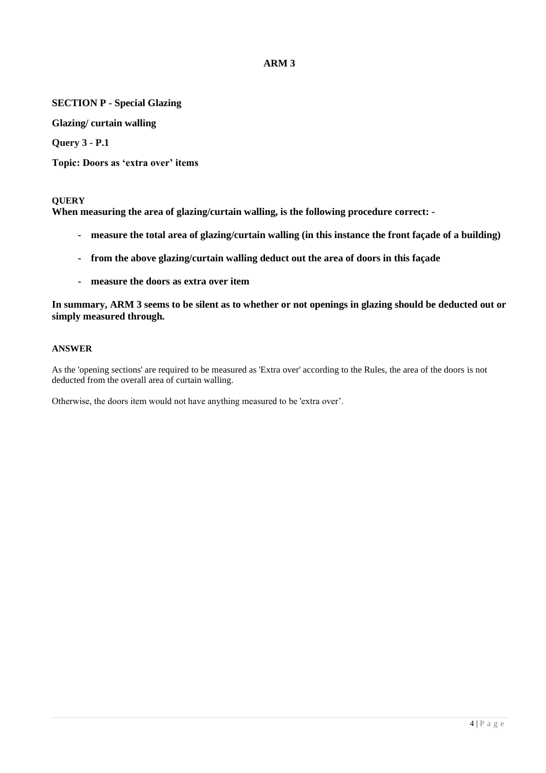# **SECTION P - Special Glazing**

**Glazing/ curtain walling**

**Query 3 - P.1**

**Topic: Doors as 'extra over' items**

#### **QUERY**

**When measuring the area of glazing/curtain walling, is the following procedure correct: -**

- **- measure the total area of glazing/curtain walling (in this instance the front façade of a building)**
- **- from the above glazing/curtain walling deduct out the area of doors in this façade**
- **- measure the doors as extra over item**

**In summary, ARM 3 seems to be silent as to whether or not openings in glazing should be deducted out or simply measured through.**

#### **ANSWER**

As the 'opening sections' are required to be measured as 'Extra over' according to the Rules, the area of the doors is not deducted from the overall area of curtain walling.

Otherwise, the doors item would not have anything measured to be 'extra over'.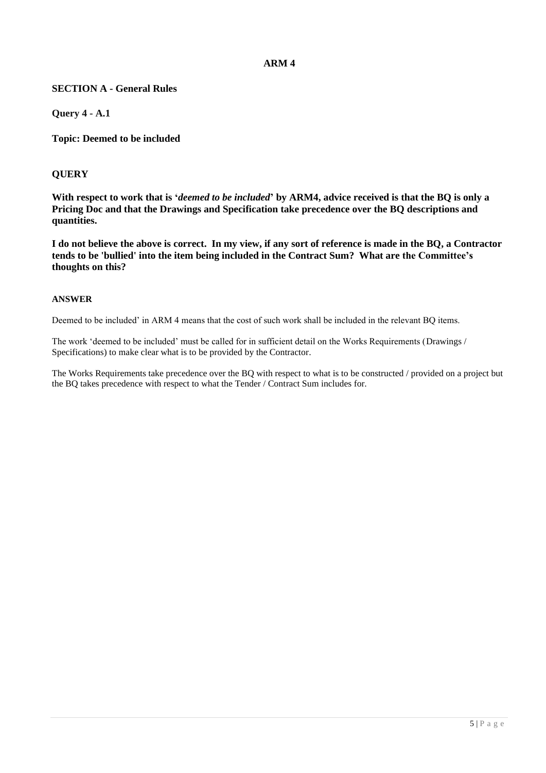# **SECTION A - General Rules**

**Query 4 - A.1**

**Topic: Deemed to be included**

### **QUERY**

**With respect to work that is '***deemed to be included***' by ARM4, advice received is that the BQ is only a Pricing Doc and that the Drawings and Specification take precedence over the BQ descriptions and quantities.**

**I do not believe the above is correct. In my view, if any sort of reference is made in the BQ, a Contractor tends to be 'bullied' into the item being included in the Contract Sum? What are the Committee's thoughts on this?**

#### **ANSWER**

Deemed to be included' in ARM 4 means that the cost of such work shall be included in the relevant BQ items.

The work 'deemed to be included' must be called for in sufficient detail on the Works Requirements (Drawings / Specifications) to make clear what is to be provided by the Contractor.

The Works Requirements take precedence over the BQ with respect to what is to be constructed / provided on a project but the BQ takes precedence with respect to what the Tender / Contract Sum includes for.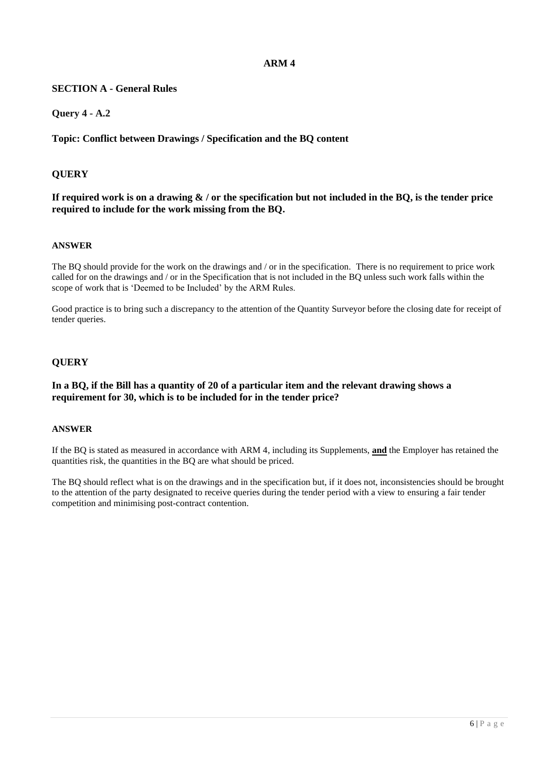# **SECTION A - General Rules**

# **Query 4 - A.2**

# **Topic: Conflict between Drawings / Specification and the BQ content**

# **QUERY**

### **If required work is on a drawing & / or the specification but not included in the BQ, is the tender price required to include for the work missing from the BQ.**

### **ANSWER**

The BQ should provide for the work on the drawings and / or in the specification. There is no requirement to price work called for on the drawings and / or in the Specification that is not included in the BQ unless such work falls within the scope of work that is 'Deemed to be Included' by the ARM Rules.

Good practice is to bring such a discrepancy to the attention of the Quantity Surveyor before the closing date for receipt of tender queries.

# **QUERY**

### **In a BQ, if the Bill has a quantity of 20 of a particular item and the relevant drawing shows a requirement for 30, which is to be included for in the tender price?**

#### **ANSWER**

If the BQ is stated as measured in accordance with ARM 4, including its Supplements, **and** the Employer has retained the quantities risk, the quantities in the BQ are what should be priced.

The BQ should reflect what is on the drawings and in the specification but, if it does not, inconsistencies should be brought to the attention of the party designated to receive queries during the tender period with a view to ensuring a fair tender competition and minimising post-contract contention.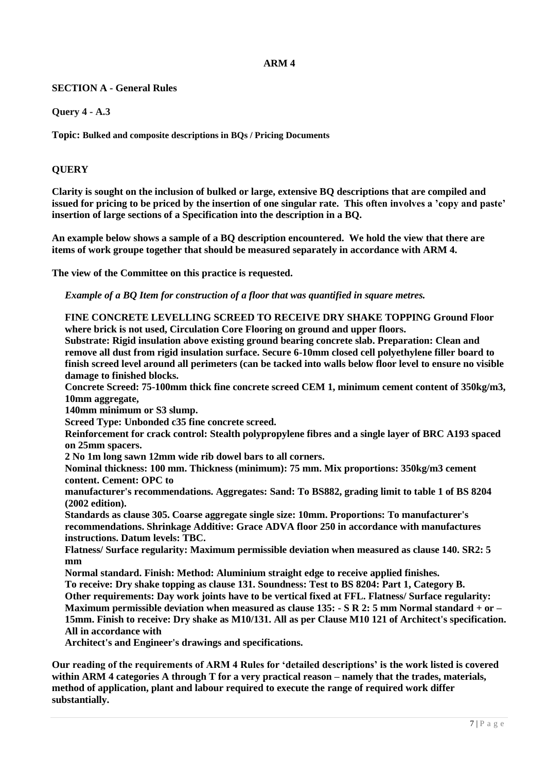# **SECTION A - General Rules**

**Query 4 - A.3**

**Topic: Bulked and composite descriptions in BQs / Pricing Documents** 

# **QUERY**

**Clarity is sought on the inclusion of bulked or large, extensive BQ descriptions that are compiled and issued for pricing to be priced by the insertion of one singular rate. This often involves a 'copy and paste' insertion of large sections of a Specification into the description in a BQ.**

**An example below shows a sample of a BQ description encountered. We hold the view that there are items of work groupe together that should be measured separately in accordance with ARM 4.**

**The view of the Committee on this practice is requested.**

*Example of a BQ Item for construction of a floor that was quantified in square metres.*

**FINE CONCRETE LEVELLING SCREED TO RECEIVE DRY SHAKE TOPPING Ground Floor where brick is not used, Circulation Core Flooring on ground and upper floors.**

**Substrate: Rigid insulation above existing ground bearing concrete slab. Preparation: Clean and remove all dust from rigid insulation surface. Secure 6-10mm closed cell polyethylene filler board to finish screed level around all perimeters (can be tacked into walls below floor level to ensure no visible damage to finished blocks.** 

**Concrete Screed: 75-100mm thick fine concrete screed CEM 1, minimum cement content of 350kg/m3, 10mm aggregate,**

**140mm minimum or S3 slump.** 

**Screed Type: Unbonded c35 fine concrete screed.** 

**Reinforcement for crack control: Stealth polypropylene fibres and a single layer of BRC A193 spaced on 25mm spacers.** 

**2 No 1m long sawn 12mm wide rib dowel bars to all corners.** 

**Nominal thickness: 100 mm. Thickness (minimum): 75 mm. Mix proportions: 350kg/m3 cement content. Cement: OPC to**

**manufacturer's recommendations. Aggregates: Sand: To BS882, grading limit to table 1 of BS 8204 (2002 edition).**

**Standards as clause 305. Coarse aggregate single size: 10mm. Proportions: To manufacturer's recommendations. Shrinkage Additive: Grace ADVA floor 250 in accordance with manufactures instructions. Datum levels: TBC.**

**Flatness/ Surface regularity: Maximum permissible deviation when measured as clause 140. SR2: 5 mm**

**Normal standard. Finish: Method: Aluminium straight edge to receive applied finishes.** 

**To receive: Dry shake topping as clause 131. Soundness: Test to BS 8204: Part 1, Category B. Other requirements: Day work joints have to be vertical fixed at FFL. Flatness/ Surface regularity: Maximum permissible deviation when measured as clause 135: - S R 2: 5 mm Normal standard + or – 15mm. Finish to receive: Dry shake as M10/131. All as per Clause M10 121 of Architect's specification. All in accordance with** 

**Architect's and Engineer's drawings and specifications.**

**Our reading of the requirements of ARM 4 Rules for 'detailed descriptions' is the work listed is covered within ARM 4 categories A through T for a very practical reason – namely that the trades, materials, method of application, plant and labour required to execute the range of required work differ substantially.**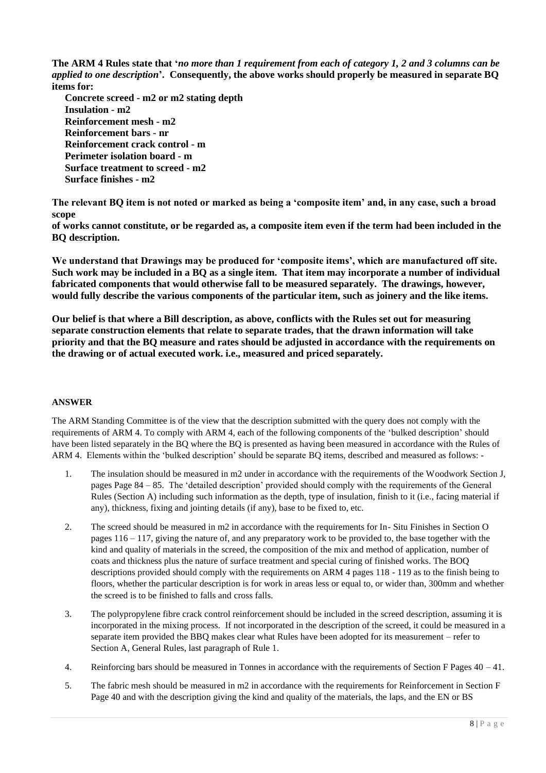**The ARM 4 Rules state that '***no more than 1 requirement from each of category 1, 2 and 3 columns can be applied to one description***'. Consequently, the above works should properly be measured in separate BQ items for:** 

**Concrete screed - m2 or m2 stating depth Insulation - m2 Reinforcement mesh - m2 Reinforcement bars - nr Reinforcement crack control - m Perimeter isolation board - m Surface treatment to screed - m2 Surface finishes - m2**

**The relevant BQ item is not noted or marked as being a 'composite item' and, in any case, such a broad scope** 

**of works cannot constitute, or be regarded as, a composite item even if the term had been included in the BQ description.** 

**We understand that Drawings may be produced for 'composite items', which are manufactured off site. Such work may be included in a BQ as a single item. That item may incorporate a number of individual fabricated components that would otherwise fall to be measured separately. The drawings, however, would fully describe the various components of the particular item, such as joinery and the like items.**

**Our belief is that where a Bill description, as above, conflicts with the Rules set out for measuring separate construction elements that relate to separate trades, that the drawn information will take priority and that the BQ measure and rates should be adjusted in accordance with the requirements on the drawing or of actual executed work. i.e., measured and priced separately.**

#### **ANSWER**

The ARM Standing Committee is of the view that the description submitted with the query does not comply with the requirements of ARM 4. To comply with ARM 4, each of the following components of the 'bulked description' should have been listed separately in the BQ where the BQ is presented as having been measured in accordance with the Rules of ARM 4. Elements within the 'bulked description' should be separate BQ items, described and measured as follows: -

- 1. The insulation should be measured in m2 under in accordance with the requirements of the Woodwork Section J, pages Page 84 – 85. The 'detailed description' provided should comply with the requirements of the General Rules (Section A) including such information as the depth, type of insulation, finish to it (i.e., facing material if any), thickness, fixing and jointing details (if any), base to be fixed to, etc.
- 2. The screed should be measured in m2 in accordance with the requirements for In- Situ Finishes in Section O pages  $116 - 117$ , giving the nature of, and any preparatory work to be provided to, the base together with the kind and quality of materials in the screed, the composition of the mix and method of application, number of coats and thickness plus the nature of surface treatment and special curing of finished works. The BOQ descriptions provided should comply with the requirements on ARM 4 pages 118 - 119 as to the finish being to floors, whether the particular description is for work in areas less or equal to, or wider than, 300mm and whether the screed is to be finished to falls and cross falls.
- 3. The polypropylene fibre crack control reinforcement should be included in the screed description, assuming it is incorporated in the mixing process. If not incorporated in the description of the screed, it could be measured in a separate item provided the BBQ makes clear what Rules have been adopted for its measurement – refer to Section A, General Rules, last paragraph of Rule 1.
- 4. Reinforcing bars should be measured in Tonnes in accordance with the requirements of Section F Pages  $40 41$ .
- 5. The fabric mesh should be measured in m2 in accordance with the requirements for Reinforcement in Section F Page 40 and with the description giving the kind and quality of the materials, the laps, and the EN or BS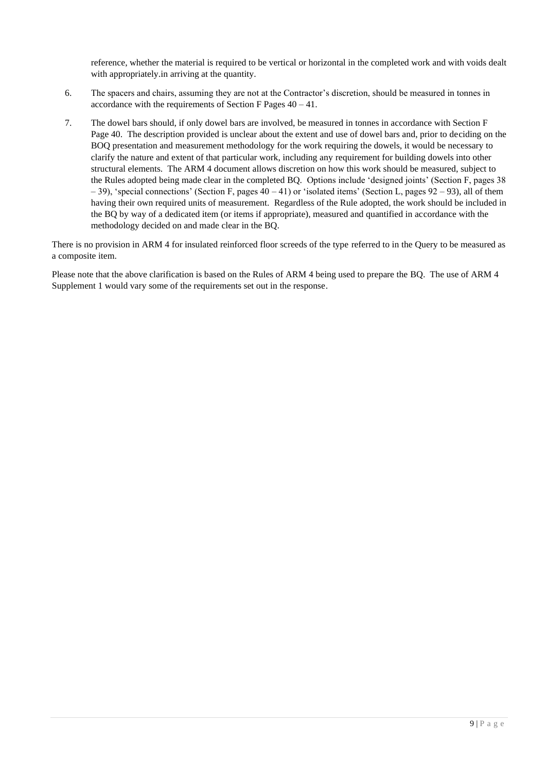reference, whether the material is required to be vertical or horizontal in the completed work and with voids dealt with appropriately.in arriving at the quantity.

- 6. The spacers and chairs, assuming they are not at the Contractor's discretion, should be measured in tonnes in accordance with the requirements of Section F Pages  $40 - 41$ .
- 7. The dowel bars should, if only dowel bars are involved, be measured in tonnes in accordance with Section F Page 40. The description provided is unclear about the extent and use of dowel bars and, prior to deciding on the BOQ presentation and measurement methodology for the work requiring the dowels, it would be necessary to clarify the nature and extent of that particular work, including any requirement for building dowels into other structural elements. The ARM 4 document allows discretion on how this work should be measured, subject to the Rules adopted being made clear in the completed BQ. Options include 'designed joints' (Section F, pages 38 – 39), 'special connections' (Section F, pages 40 – 41) or 'isolated items' (Section L, pages 92 – 93), all of them having their own required units of measurement. Regardless of the Rule adopted, the work should be included in the BQ by way of a dedicated item (or items if appropriate), measured and quantified in accordance with the methodology decided on and made clear in the BQ.

There is no provision in ARM 4 for insulated reinforced floor screeds of the type referred to in the Query to be measured as a composite item.

Please note that the above clarification is based on the Rules of ARM 4 being used to prepare the BQ. The use of ARM 4 Supplement 1 would vary some of the requirements set out in the response.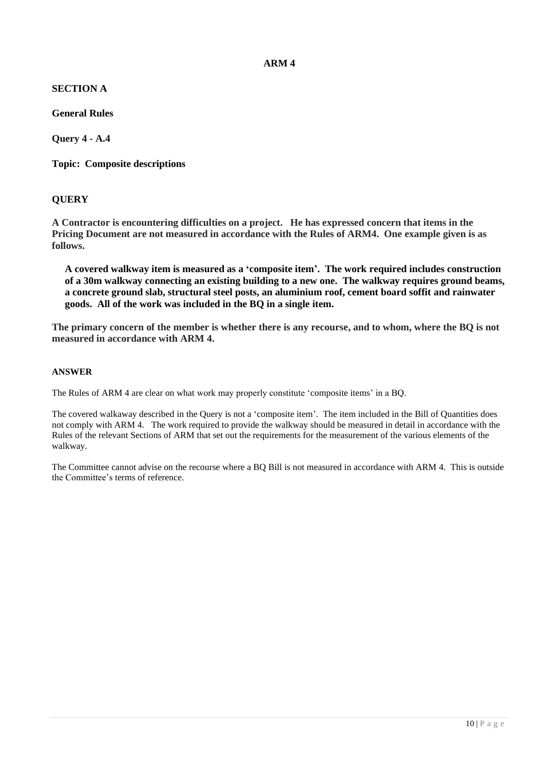# **SECTION A**

**General Rules**

**Query 4 - A.4**

**Topic: Composite descriptions**

# **QUERY**

**A Contractor is encountering difficulties on a project. He has expressed concern that items in the Pricing Document are not measured in accordance with the Rules of ARM4. One example given is as follows.** 

**A covered walkway item is measured as a 'composite item'. The work required includes construction of a 30m walkway connecting an existing building to a new one. The walkway requires ground beams, a concrete ground slab, structural steel posts, an aluminium roof, cement board soffit and rainwater goods. All of the work was included in the BQ in a single item.**

**The primary concern of the member is whether there is any recourse, and to whom, where the BQ is not measured in accordance with ARM 4.**

#### **ANSWER**

The Rules of ARM 4 are clear on what work may properly constitute 'composite items' in a BQ.

The covered walkaway described in the Query is not a 'composite item'. The item included in the Bill of Quantities does not comply with ARM 4. The work required to provide the walkway should be measured in detail in accordance with the Rules of the relevant Sections of ARM that set out the requirements for the measurement of the various elements of the walkway.

The Committee cannot advise on the recourse where a BQ Bill is not measured in accordance with ARM 4. This is outside the Committee's terms of reference.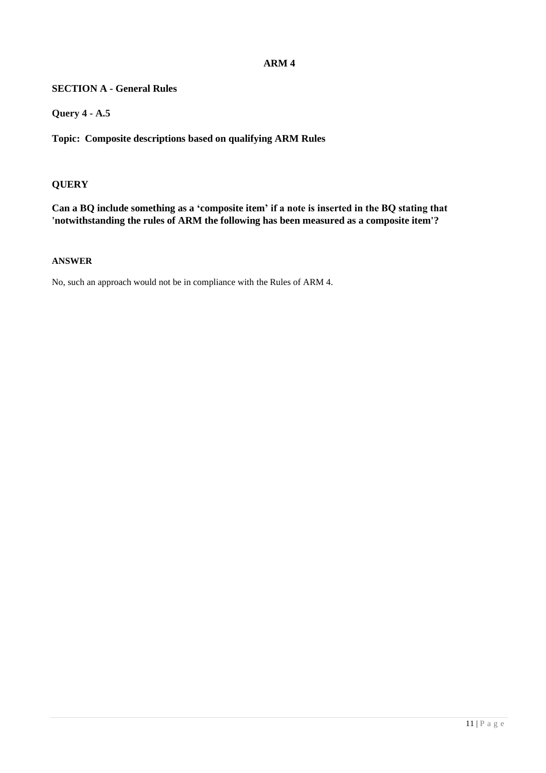# **SECTION A - General Rules**

**Query 4 - A.5**

**Topic: Composite descriptions based on qualifying ARM Rules**

# **QUERY**

**Can a BQ include something as a 'composite item' if a note is inserted in the BQ stating that 'notwithstanding the rules of ARM the following has been measured as a composite item'?**

#### **ANSWER**

No, such an approach would not be in compliance with the Rules of ARM 4.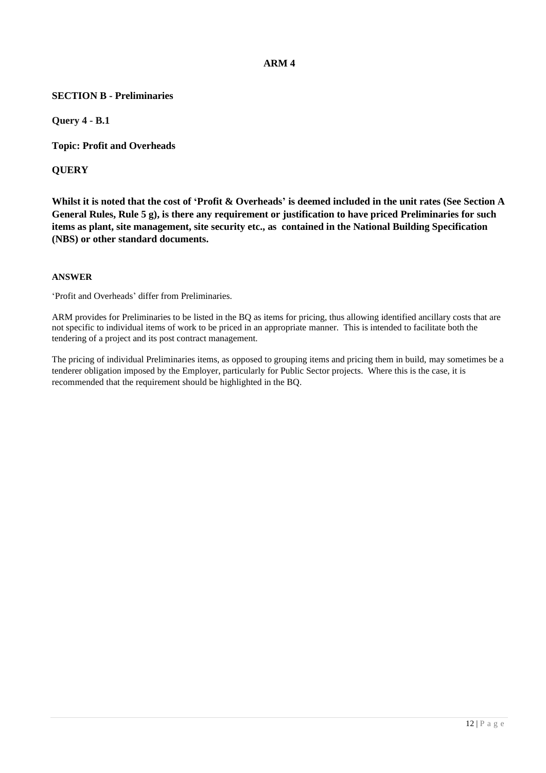### **SECTION B - Preliminaries**

**Query 4 - B.1**

**Topic: Profit and Overheads**

**QUERY**

**Whilst it is noted that the cost of 'Profit & Overheads' is deemed included in the unit rates (See Section A General Rules, Rule 5 g), is there any requirement or justification to have priced Preliminaries for such items as plant, site management, site security etc., as contained in the National Building Specification (NBS) or other standard documents.**

#### **ANSWER**

'Profit and Overheads' differ from Preliminaries.

ARM provides for Preliminaries to be listed in the BQ as items for pricing, thus allowing identified ancillary costs that are not specific to individual items of work to be priced in an appropriate manner. This is intended to facilitate both the tendering of a project and its post contract management.

The pricing of individual Preliminaries items, as opposed to grouping items and pricing them in build, may sometimes be a tenderer obligation imposed by the Employer, particularly for Public Sector projects. Where this is the case, it is recommended that the requirement should be highlighted in the BQ.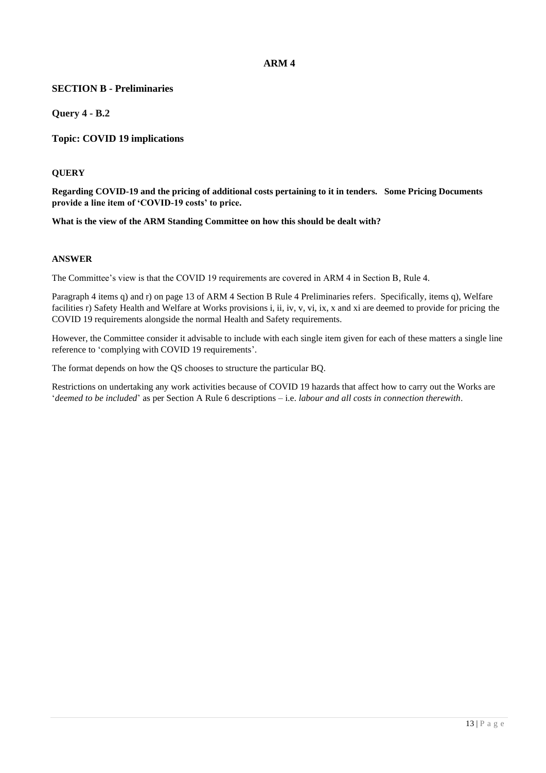### **SECTION B - Preliminaries**

**Query 4 - B.2**

**Topic: COVID 19 implications**

#### **QUERY**

**Regarding COVID-19 and the pricing of additional costs pertaining to it in tenders. Some Pricing Documents provide a line item of 'COVID-19 costs' to price.** 

**What is the view of the ARM Standing Committee on how this should be dealt with?**

#### **ANSWER**

The Committee's view is that the COVID 19 requirements are covered in ARM 4 in Section B, Rule 4.

Paragraph 4 items q) and r) on page 13 of ARM 4 Section B Rule 4 Preliminaries refers. Specifically, items q), Welfare facilities r) Safety Health and Welfare at Works provisions i, ii, iv, v, vi, ix, x and xi are deemed to provide for pricing the COVID 19 requirements alongside the normal Health and Safety requirements.

However, the Committee consider it advisable to include with each single item given for each of these matters a single line reference to 'complying with COVID 19 requirements'.

The format depends on how the QS chooses to structure the particular BQ.

Restrictions on undertaking any work activities because of COVID 19 hazards that affect how to carry out the Works are '*deemed to be included*' as per Section A Rule 6 descriptions – i.e. *labour and all costs in connection therewith*.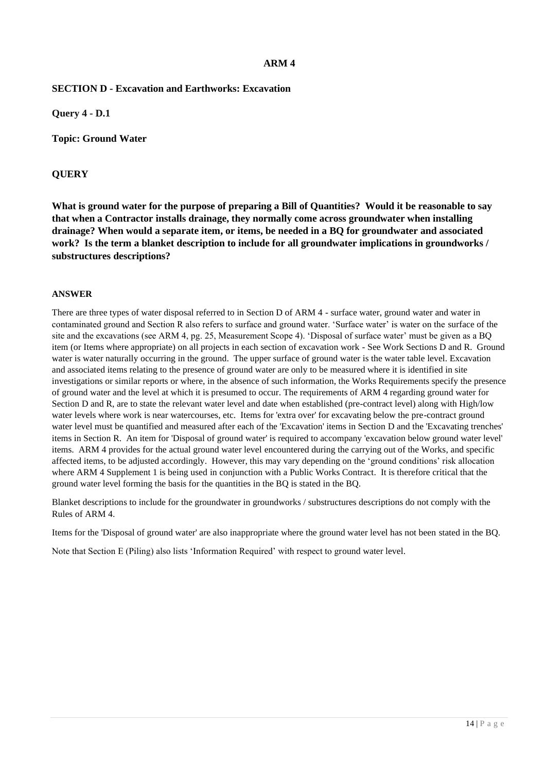### **SECTION D - Excavation and Earthworks: Excavation**

**Query 4 - D.1**

**Topic: Ground Water**

### **QUERY**

**What is ground water for the purpose of preparing a Bill of Quantities? Would it be reasonable to say that when a Contractor installs drainage, they normally come across groundwater when installing drainage? When would a separate item, or items, be needed in a BQ for groundwater and associated work? Is the term a blanket description to include for all groundwater implications in groundworks / substructures descriptions?**

#### **ANSWER**

There are three types of water disposal referred to in Section D of ARM 4 - surface water, ground water and water in contaminated ground and Section R also refers to surface and ground water. 'Surface water' is water on the surface of the site and the excavations (see ARM 4, pg. 25, Measurement Scope 4). 'Disposal of surface water' must be given as a BQ item (or Items where appropriate) on all projects in each section of excavation work - See Work Sections D and R. Ground water is water naturally occurring in the ground. The upper surface of ground water is the water table level. Excavation and associated items relating to the presence of ground water are only to be measured where it is identified in site investigations or similar reports or where, in the absence of such information, the Works Requirements specify the presence of ground water and the level at which it is presumed to occur. The requirements of ARM 4 regarding ground water for Section D and R, are to state the relevant water level and date when established (pre-contract level) along with High/low water levels where work is near watercourses, etc. Items for 'extra over' for excavating below the pre-contract ground water level must be quantified and measured after each of the 'Excavation' items in Section D and the 'Excavating trenches' items in Section R. An item for 'Disposal of ground water' is required to accompany 'excavation below ground water level' items. ARM 4 provides for the actual ground water level encountered during the carrying out of the Works, and specific affected items, to be adjusted accordingly. However, this may vary depending on the 'ground conditions' risk allocation where ARM 4 Supplement 1 is being used in conjunction with a Public Works Contract. It is therefore critical that the ground water level forming the basis for the quantities in the BQ is stated in the BQ.

Blanket descriptions to include for the groundwater in groundworks / substructures descriptions do not comply with the Rules of ARM 4.

Items for the 'Disposal of ground water' are also inappropriate where the ground water level has not been stated in the BQ.

Note that Section E (Piling) also lists 'Information Required' with respect to ground water level.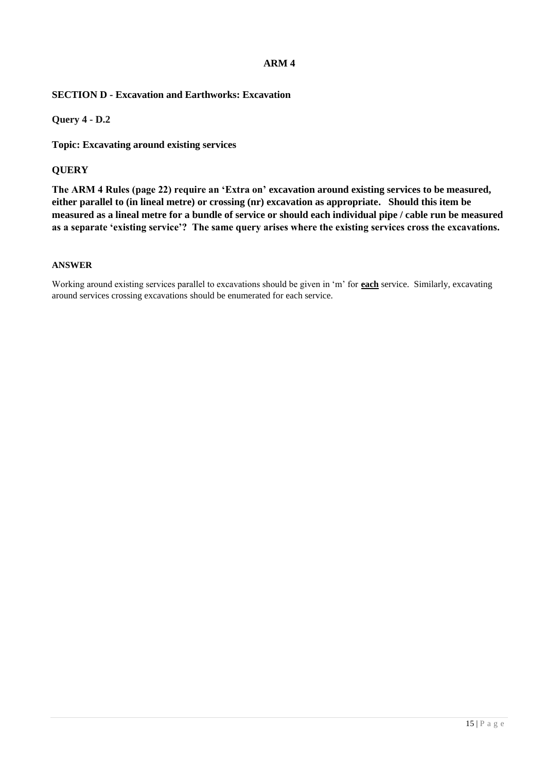# **SECTION D - Excavation and Earthworks: Excavation**

### **Query 4 - D.2**

**Topic: Excavating around existing services**

### **QUERY**

**The ARM 4 Rules (page 22) require an 'Extra on' excavation around existing services to be measured, either parallel to (in lineal metre) or crossing (nr) excavation as appropriate. Should this item be measured as a lineal metre for a bundle of service or should each individual pipe / cable run be measured as a separate 'existing service'? The same query arises where the existing services cross the excavations.**

#### **ANSWER**

Working around existing services parallel to excavations should be given in 'm' for **each** service. Similarly, excavating around services crossing excavations should be enumerated for each service.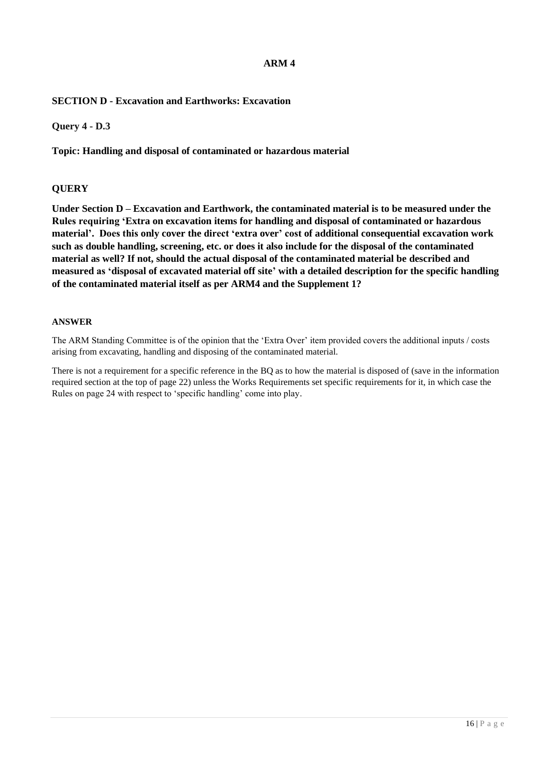# **SECTION D - Excavation and Earthworks: Excavation**

**Query 4 - D.3**

**Topic: Handling and disposal of contaminated or hazardous material**

### **QUERY**

**Under Section D – Excavation and Earthwork, the contaminated material is to be measured under the Rules requiring 'Extra on excavation items for handling and disposal of contaminated or hazardous material'. Does this only cover the direct 'extra over' cost of additional consequential excavation work such as double handling, screening, etc. or does it also include for the disposal of the contaminated material as well? If not, should the actual disposal of the contaminated material be described and measured as 'disposal of excavated material off site' with a detailed description for the specific handling of the contaminated material itself as per ARM4 and the Supplement 1?**

#### **ANSWER**

The ARM Standing Committee is of the opinion that the 'Extra Over' item provided covers the additional inputs / costs arising from excavating, handling and disposing of the contaminated material.

There is not a requirement for a specific reference in the BQ as to how the material is disposed of (save in the information required section at the top of page 22) unless the Works Requirements set specific requirements for it, in which case the Rules on page 24 with respect to 'specific handling' come into play.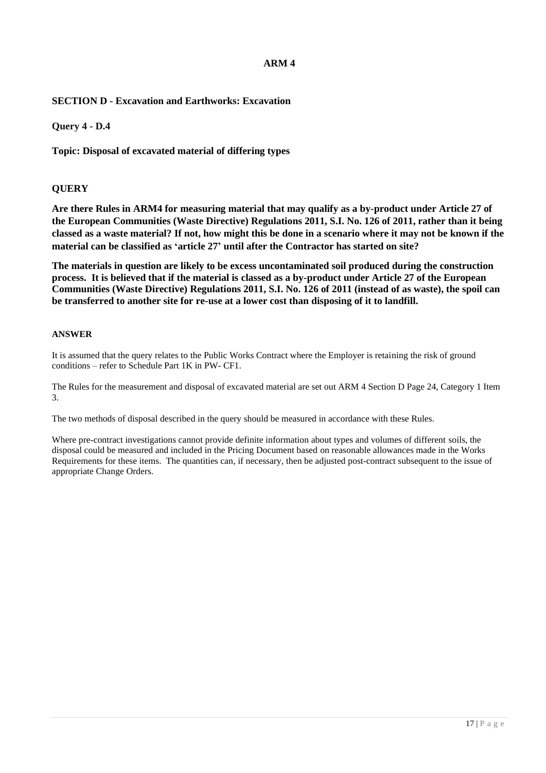# **SECTION D - Excavation and Earthworks: Excavation**

**Query 4 - D.4**

**Topic: Disposal of excavated material of differing types**

### **QUERY**

**Are there Rules in ARM4 for measuring material that may qualify as a by-product under Article 27 of the European Communities (Waste Directive) Regulations 2011, S.I. No. 126 of 2011, rather than it being classed as a waste material? If not, how might this be done in a scenario where it may not be known if the material can be classified as 'article 27' until after the Contractor has started on site?**

**The materials in question are likely to be excess uncontaminated soil produced during the construction process. It is believed that if the material is classed as a by-product under Article 27 of the European Communities (Waste Directive) Regulations 2011, S.I. No. 126 of 2011 (instead of as waste), the spoil can be transferred to another site for re-use at a lower cost than disposing of it to landfill.** 

#### **ANSWER**

It is assumed that the query relates to the Public Works Contract where the Employer is retaining the risk of ground conditions – refer to Schedule Part 1K in PW- CF1.

The Rules for the measurement and disposal of excavated material are set out ARM 4 Section D Page 24, Category 1 Item 3.

The two methods of disposal described in the query should be measured in accordance with these Rules.

Where pre-contract investigations cannot provide definite information about types and volumes of different soils, the disposal could be measured and included in the Pricing Document based on reasonable allowances made in the Works Requirements for these items. The quantities can, if necessary, then be adjusted post-contract subsequent to the issue of appropriate Change Orders.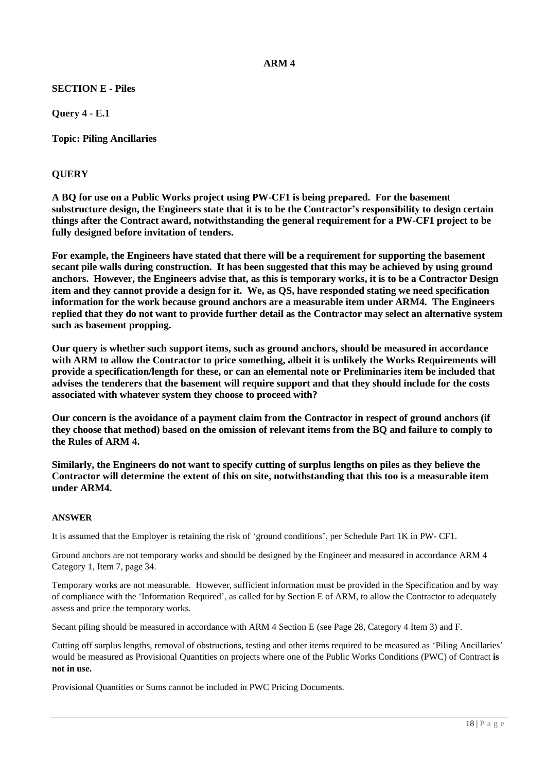# **SECTION E - Piles**

**Query 4 - E.1**

**Topic: Piling Ancillaries**

### **QUERY**

**A BQ for use on a Public Works project using PW-CF1 is being prepared. For the basement substructure design, the Engineers state that it is to be the Contractor's responsibility to design certain things after the Contract award, notwithstanding the general requirement for a PW-CF1 project to be fully designed before invitation of tenders.**

**For example, the Engineers have stated that there will be a requirement for supporting the basement secant pile walls during construction. It has been suggested that this may be achieved by using ground anchors. However, the Engineers advise that, as this is temporary works, it is to be a Contractor Design item and they cannot provide a design for it. We, as QS, have responded stating we need specification information for the work because ground anchors are a measurable item under ARM4. The Engineers replied that they do not want to provide further detail as the Contractor may select an alternative system such as basement propping.** 

**Our query is whether such support items, such as ground anchors, should be measured in accordance with ARM to allow the Contractor to price something, albeit it is unlikely the Works Requirements will provide a specification/length for these, or can an elemental note or Preliminaries item be included that advises the tenderers that the basement will require support and that they should include for the costs associated with whatever system they choose to proceed with?** 

**Our concern is the avoidance of a payment claim from the Contractor in respect of ground anchors (if they choose that method) based on the omission of relevant items from the BQ and failure to comply to the Rules of ARM 4.**

**Similarly, the Engineers do not want to specify cutting of surplus lengths on piles as they believe the Contractor will determine the extent of this on site, notwithstanding that this too is a measurable item under ARM4.** 

#### **ANSWER**

It is assumed that the Employer is retaining the risk of 'ground conditions', per Schedule Part 1K in PW- CF1.

Ground anchors are not temporary works and should be designed by the Engineer and measured in accordance ARM 4 Category 1, Item 7, page 34.

Temporary works are not measurable. However, sufficient information must be provided in the Specification and by way of compliance with the 'Information Required', as called for by Section E of ARM, to allow the Contractor to adequately assess and price the temporary works.

Secant piling should be measured in accordance with ARM 4 Section E (see Page 28, Category 4 Item 3) and F.

Cutting off surplus lengths, removal of obstructions, testing and other items required to be measured as 'Piling Ancillaries' would be measured as Provisional Quantities on projects where one of the Public Works Conditions (PWC) of Contract **is not in use.**

Provisional Quantities or Sums cannot be included in PWC Pricing Documents.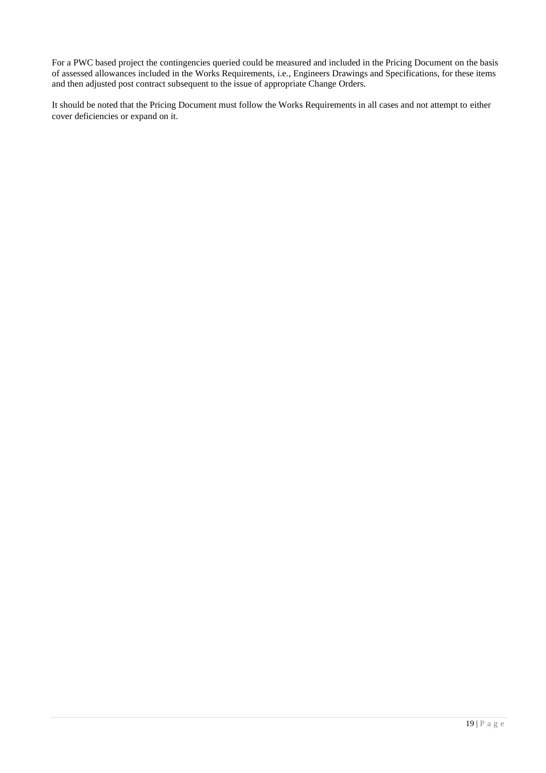For a PWC based project the contingencies queried could be measured and included in the Pricing Document on the basis of assessed allowances included in the Works Requirements, i.e., Engineers Drawings and Specifications, for these items and then adjusted post contract subsequent to the issue of appropriate Change Orders.

It should be noted that the Pricing Document must follow the Works Requirements in all cases and not attempt to either cover deficiencies or expand on it.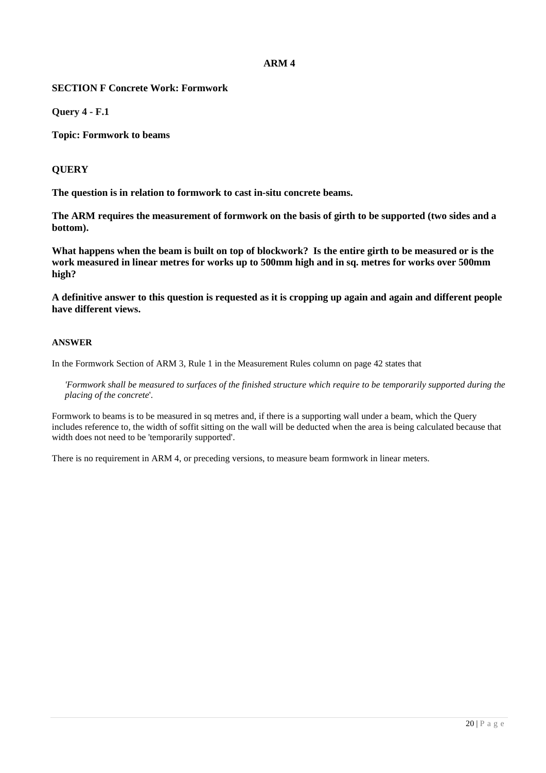### **SECTION F Concrete Work: Formwork**

**Query 4 - F.1**

**Topic: Formwork to beams**

### **QUERY**

**The question is in relation to formwork to cast in-situ concrete beams.**

**The ARM requires the measurement of formwork on the basis of girth to be supported (two sides and a bottom).**

**What happens when the beam is built on top of blockwork? Is the entire girth to be measured or is the work measured in linear metres for works up to 500mm high and in sq. metres for works over 500mm high?**

**A definitive answer to this question is requested as it is cropping up again and again and different people have different views.**

#### **ANSWER**

In the Formwork Section of ARM 3, Rule 1 in the Measurement Rules column on page 42 states that

*'Formwork shall be measured to surfaces of the finished structure which require to be temporarily supported during the placing of the concrete*'.

Formwork to beams is to be measured in sq metres and, if there is a supporting wall under a beam, which the Query includes reference to, the width of soffit sitting on the wall will be deducted when the area is being calculated because that width does not need to be 'temporarily supported'.

There is no requirement in ARM 4, or preceding versions, to measure beam formwork in linear meters.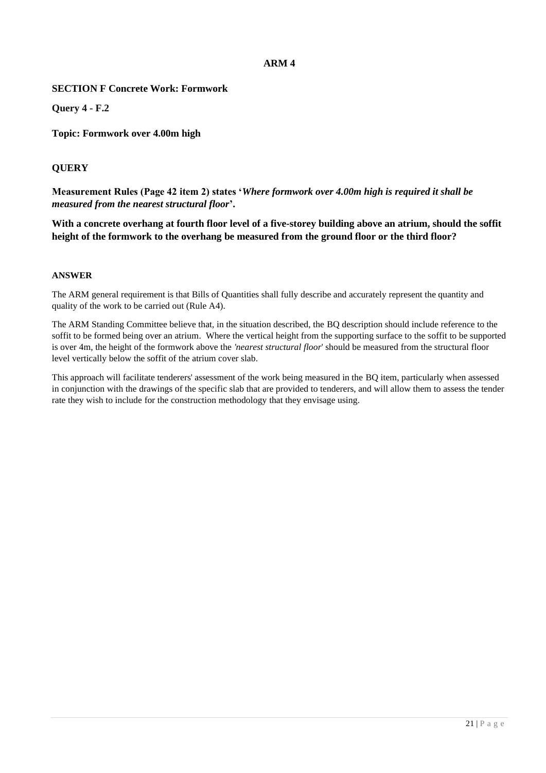### **SECTION F Concrete Work: Formwork**

**Query 4 - F.2**

**Topic: Formwork over 4.00m high**

# **QUERY**

**Measurement Rules (Page 42 item 2) states '***Where formwork over 4.00m high is required it shall be measured from the nearest structural floor***'.**

**With a concrete overhang at fourth floor level of a five-storey building above an atrium, should the soffit height of the formwork to the overhang be measured from the ground floor or the third floor?**

#### **ANSWER**

The ARM general requirement is that Bills of Quantities shall fully describe and accurately represent the quantity and quality of the work to be carried out (Rule A4).

The ARM Standing Committee believe that, in the situation described, the BQ description should include reference to the soffit to be formed being over an atrium. Where the vertical height from the supporting surface to the soffit to be supported is over 4m, the height of the formwork above the *'nearest structural floor*' should be measured from the structural floor level vertically below the soffit of the atrium cover slab.

This approach will facilitate tenderers' assessment of the work being measured in the BQ item, particularly when assessed in conjunction with the drawings of the specific slab that are provided to tenderers, and will allow them to assess the tender rate they wish to include for the construction methodology that they envisage using.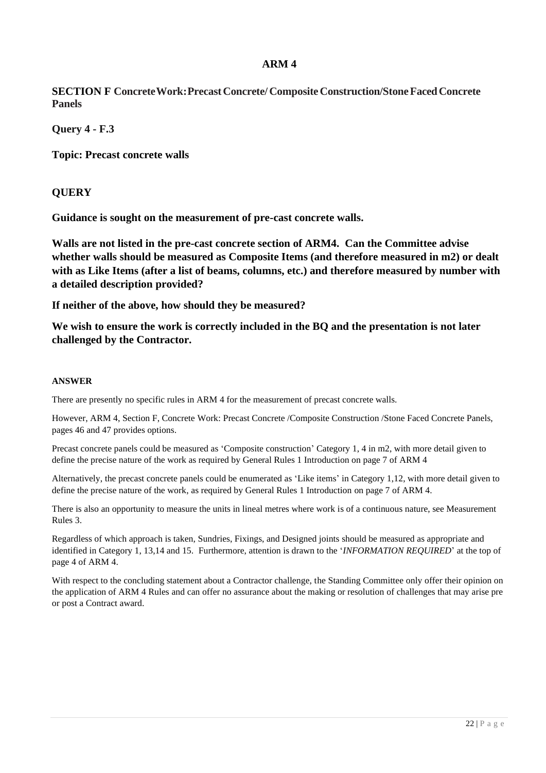**SECTION F Concrete Work: Precast Concrete/Composite Construction/Stone Faced Concrete Panels**

**Query 4 - F.3**

**Topic: Precast concrete walls**

# **QUERY**

**Guidance is sought on the measurement of pre-cast concrete walls.** 

**Walls are not listed in the pre-cast concrete section of ARM4. Can the Committee advise whether walls should be measured as Composite Items (and therefore measured in m2) or dealt with as Like Items (after a list of beams, columns, etc.) and therefore measured by number with a detailed description provided?**

**If neither of the above, how should they be measured?** 

**We wish to ensure the work is correctly included in the BQ and the presentation is not later challenged by the Contractor.**

#### **ANSWER**

There are presently no specific rules in ARM 4 for the measurement of precast concrete walls.

However, ARM 4, Section F, Concrete Work: Precast Concrete /Composite Construction /Stone Faced Concrete Panels, pages 46 and 47 provides options.

Precast concrete panels could be measured as 'Composite construction' Category 1, 4 in m2, with more detail given to define the precise nature of the work as required by General Rules 1 Introduction on page 7 of ARM 4

Alternatively, the precast concrete panels could be enumerated as 'Like items' in Category 1,12, with more detail given to define the precise nature of the work, as required by General Rules 1 Introduction on page 7 of ARM 4.

There is also an opportunity to measure the units in lineal metres where work is of a continuous nature, see Measurement Rules 3.

Regardless of which approach is taken, Sundries, Fixings, and Designed joints should be measured as appropriate and identified in Category 1, 13,14 and 15. Furthermore, attention is drawn to the '*INFORMATION REQUIRED*' at the top of page 4 of ARM 4.

With respect to the concluding statement about a Contractor challenge, the Standing Committee only offer their opinion on the application of ARM 4 Rules and can offer no assurance about the making or resolution of challenges that may arise pre or post a Contract award.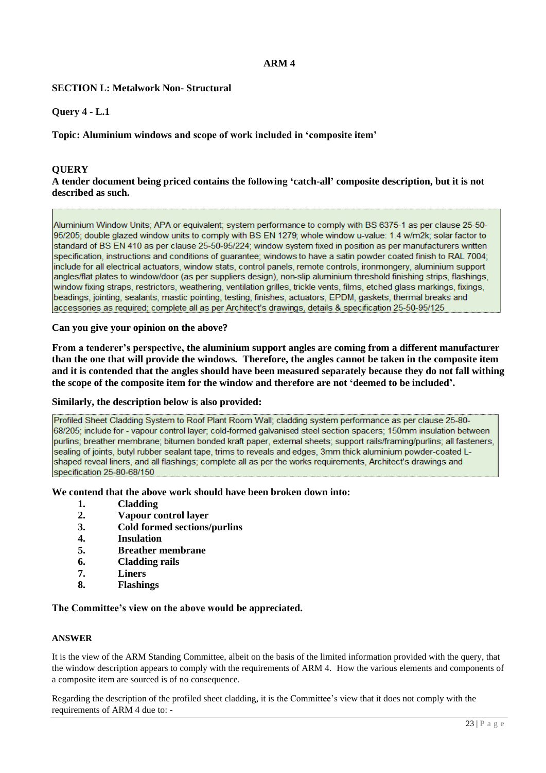### **SECTION L: Metalwork Non- Structural**

### **Query 4 - L.1**

### **Topic: Aluminium windows and scope of work included in 'composite item'**

### **QUERY**

### **A tender document being priced contains the following 'catch-all' composite description, but it is not described as such.**

Aluminium Window Units; APA or equivalent; system performance to comply with BS 6375-1 as per clause 25-50-95/205; double glazed window units to comply with BS EN 1279; whole window u-value; 1.4 w/m2k; solar factor to standard of BS EN 410 as per clause 25-50-95/224; window system fixed in position as per manufacturers written specification, instructions and conditions of guarantee; windows to have a satin powder coated finish to RAL 7004; include for all electrical actuators, window stats, control panels, remote controls, ironmongery, aluminium support angles/flat plates to window/door (as per suppliers design), non-slip aluminium threshold finishing strips, flashings, window fixing straps, restrictors, weathering, ventilation grilles, trickle vents, films, etched glass markings, fixings, beadings, jointing, sealants, mastic pointing, testing, finishes, actuators, EPDM, gaskets, thermal breaks and accessories as required; complete all as per Architect's drawings, details & specification 25-50-95/125

#### **Can you give your opinion on the above?**

**From a tenderer's perspective, the aluminium support angles are coming from a different manufacturer than the one that will provide the windows. Therefore, the angles cannot be taken in the composite item and it is contended that the angles should have been measured separately because they do not fall withing the scope of the composite item for the window and therefore are not 'deemed to be included'.** 

#### **Similarly, the description below is also provided:**

Profiled Sheet Cladding System to Roof Plant Room Wall: cladding system performance as per clause 25-80-68/205; include for - vapour control layer; cold-formed galvanised steel section spacers; 150mm insulation between purlins; breather membrane; bitumen bonded kraft paper, external sheets; support rails/framing/purlins; all fasteners, sealing of joints, butyl rubber sealant tape, trims to reveals and edges, 3mm thick aluminium powder-coated Lshaped reveal liners, and all flashings; complete all as per the works requirements, Architect's drawings and specification 25-80-68/150

#### **We contend that the above work should have been broken down into:**

- **1. Cladding**
- **2. Vapour control layer**
- **3. Cold formed sections/purlins**
- **4. Insulation**
- **5. Breather membrane**
- **6. Cladding rails**
- **7. Liners**
- **8. Flashings**

#### **The Committee's view on the above would be appreciated.**

#### **ANSWER**

It is the view of the ARM Standing Committee, albeit on the basis of the limited information provided with the query, that the window description appears to comply with the requirements of ARM 4. How the various elements and components of a composite item are sourced is of no consequence.

Regarding the description of the profiled sheet cladding, it is the Committee's view that it does not comply with the requirements of ARM 4 due to: -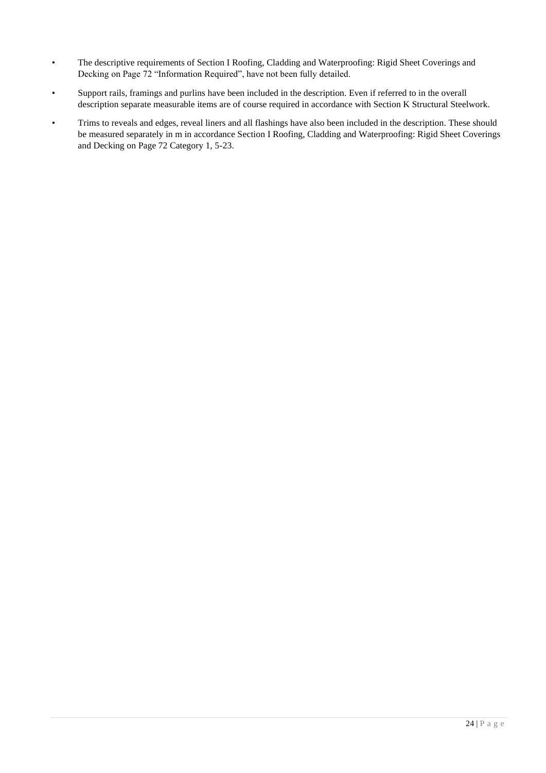- The descriptive requirements of Section I Roofing, Cladding and Waterproofing: Rigid Sheet Coverings and Decking on Page 72 "Information Required", have not been fully detailed.
- Support rails, framings and purlins have been included in the description. Even if referred to in the overall description separate measurable items are of course required in accordance with Section K Structural Steelwork.
- Trims to reveals and edges, reveal liners and all flashings have also been included in the description. These should be measured separately in m in accordance Section I Roofing, Cladding and Waterproofing: Rigid Sheet Coverings and Decking on Page 72 Category 1, 5-23.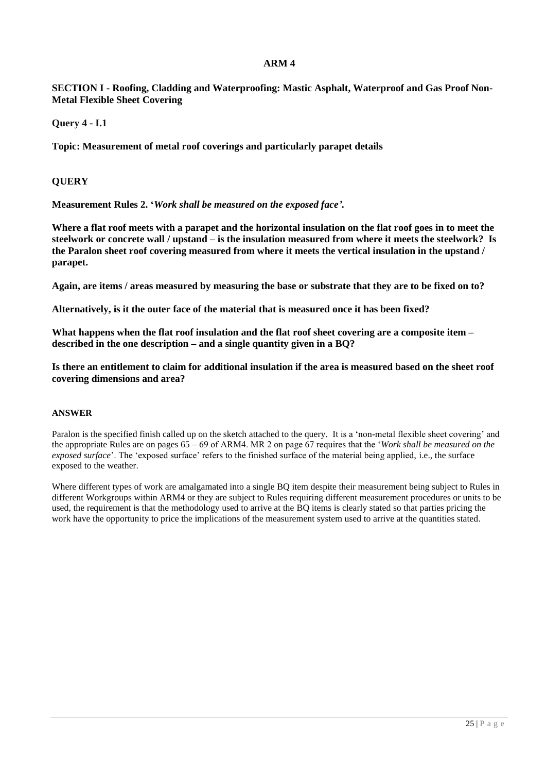**SECTION I - Roofing, Cladding and Waterproofing: Mastic Asphalt, Waterproof and Gas Proof Non-Metal Flexible Sheet Covering**

**Query 4 - I.1**

**Topic: Measurement of metal roof coverings and particularly parapet details**

#### **QUERY**

**Measurement Rules 2. '***Work shall be measured on the exposed face'.*

**Where a flat roof meets with a parapet and the horizontal insulation on the flat roof goes in to meet the steelwork or concrete wall / upstand – is the insulation measured from where it meets the steelwork? Is the Paralon sheet roof covering measured from where it meets the vertical insulation in the upstand / parapet.**

**Again, are items / areas measured by measuring the base or substrate that they are to be fixed on to?**

**Alternatively, is it the outer face of the material that is measured once it has been fixed?**

**What happens when the flat roof insulation and the flat roof sheet covering are a composite item – described in the one description – and a single quantity given in a BQ?**

**Is there an entitlement to claim for additional insulation if the area is measured based on the sheet roof covering dimensions and area?**

#### **ANSWER**

Paralon is the specified finish called up on the sketch attached to the query. It is a 'non-metal flexible sheet covering' and the appropriate Rules are on pages 65 – 69 of ARM4. MR 2 on page 67 requires that the '*Work shall be measured on the exposed surface*'. The 'exposed surface' refers to the finished surface of the material being applied, i.e., the surface exposed to the weather.

Where different types of work are amalgamated into a single BQ item despite their measurement being subject to Rules in different Workgroups within ARM4 or they are subject to Rules requiring different measurement procedures or units to be used, the requirement is that the methodology used to arrive at the BQ items is clearly stated so that parties pricing the work have the opportunity to price the implications of the measurement system used to arrive at the quantities stated.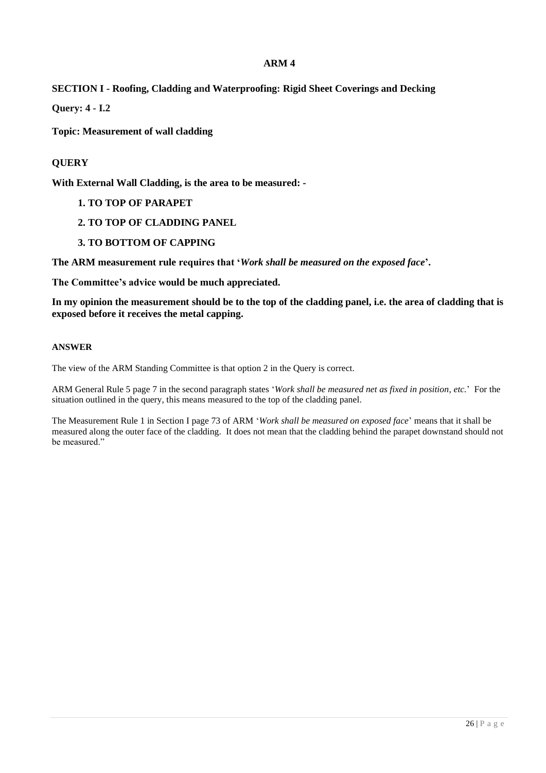# **SECTION I - Roofing, Cladding and Waterproofing: Rigid Sheet Coverings and Decking**

**Query: 4 - I.2**

**Topic: Measurement of wall cladding**

# **QUERY**

**With External Wall Cladding, is the area to be measured: -**

- **1. TO TOP OF PARAPET**
- **2. TO TOP OF CLADDING PANEL**
- **3. TO BOTTOM OF CAPPING**

**The ARM measurement rule requires that '***Work shall be measured on the exposed face***'.**

**The Committee's advice would be much appreciated.**

**In my opinion the measurement should be to the top of the cladding panel, i.e. the area of cladding that is exposed before it receives the metal capping.**

#### **ANSWER**

The view of the ARM Standing Committee is that option 2 in the Query is correct.

ARM General Rule 5 page 7 in the second paragraph states '*Work shall be measured net as fixed in position, etc.*' For the situation outlined in the query, this means measured to the top of the cladding panel.

The Measurement Rule 1 in Section I page 73 of ARM '*Work shall be measured on exposed face*' means that it shall be measured along the outer face of the cladding. It does not mean that the cladding behind the parapet downstand should not be measured."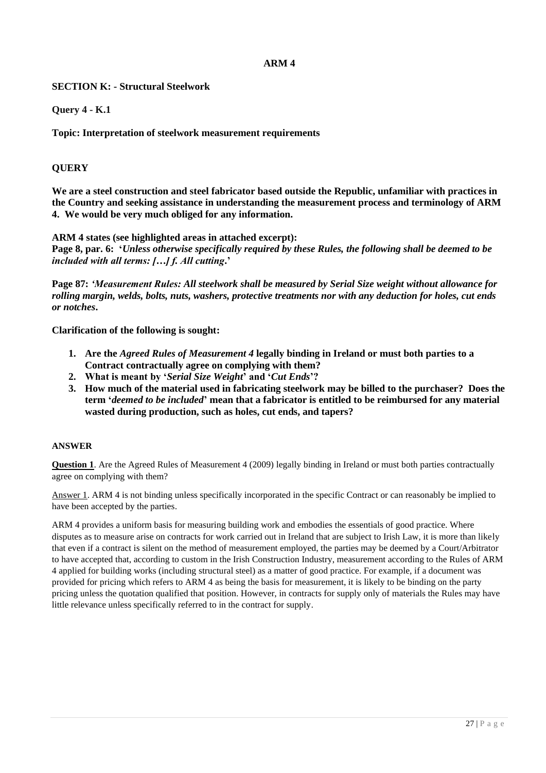# **SECTION K: - Structural Steelwork**

### **Query 4 - K.1**

**Topic: Interpretation of steelwork measurement requirements**

### **QUERY**

**We are a steel construction and steel fabricator based outside the Republic, unfamiliar with practices in the Country and seeking assistance in understanding the measurement process and terminology of ARM 4. We would be very much obliged for any information.** 

**ARM 4 states (see highlighted areas in attached excerpt):** 

**Page 8, par. 6: '***Unless otherwise specifically required by these Rules, the following shall be deemed to be included with all terms: […] f. All cutting***.'**

**Page 87:** *'Measurement Rules: All steelwork shall be measured by Serial Size weight without allowance for rolling margin, welds, bolts, nuts, washers, protective treatments nor with any deduction for holes, cut ends or notches***.** 

**Clarification of the following is sought:**

- **1. Are the** *Agreed Rules of Measurement 4* **legally binding in Ireland or must both parties to a Contract contractually agree on complying with them?**
- **2. What is meant by '***Serial Size Weight***' and '***Cut Ends***'?**
- **3. How much of the material used in fabricating steelwork may be billed to the purchaser? Does the term '***deemed to be included***' mean that a fabricator is entitled to be reimbursed for any material wasted during production, such as holes, cut ends, and tapers?**

#### **ANSWER**

**Question 1**. Are the Agreed Rules of Measurement 4 (2009) legally binding in Ireland or must both parties contractually agree on complying with them?

Answer 1. ARM 4 is not binding unless specifically incorporated in the specific Contract or can reasonably be implied to have been accepted by the parties.

ARM 4 provides a uniform basis for measuring building work and embodies the essentials of good practice. Where disputes as to measure arise on contracts for work carried out in Ireland that are subject to Irish Law, it is more than likely that even if a contract is silent on the method of measurement employed, the parties may be deemed by a Court/Arbitrator to have accepted that, according to custom in the Irish Construction Industry, measurement according to the Rules of ARM 4 applied for building works (including structural steel) as a matter of good practice. For example, if a document was provided for pricing which refers to ARM 4 as being the basis for measurement, it is likely to be binding on the party pricing unless the quotation qualified that position. However, in contracts for supply only of materials the Rules may have little relevance unless specifically referred to in the contract for supply.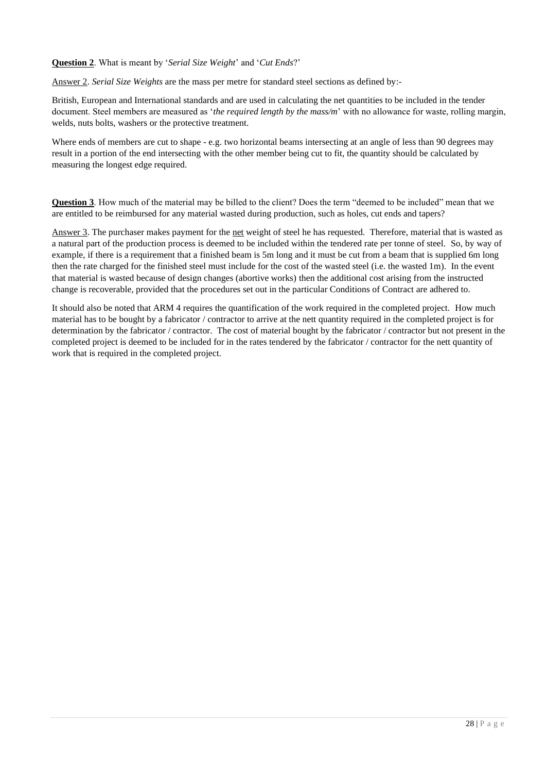#### **Question 2**. What is meant by '*Serial Size Weight*' and '*Cut Ends*?'

Answer 2. *Serial Size Weights* are the mass per metre for standard steel sections as defined by:-

British, European and International standards and are used in calculating the net quantities to be included in the tender document. Steel members are measured as '*the required length by the mass/m*' with no allowance for waste, rolling margin, welds, nuts bolts, washers or the protective treatment.

Where ends of members are cut to shape - e.g. two horizontal beams intersecting at an angle of less than 90 degrees may result in a portion of the end intersecting with the other member being cut to fit, the quantity should be calculated by measuring the longest edge required.

**Question 3**. How much of the material may be billed to the client? Does the term "deemed to be included" mean that we are entitled to be reimbursed for any material wasted during production, such as holes, cut ends and tapers?

Answer 3. The purchaser makes payment for the net weight of steel he has requested. Therefore, material that is wasted as a natural part of the production process is deemed to be included within the tendered rate per tonne of steel. So, by way of example, if there is a requirement that a finished beam is 5m long and it must be cut from a beam that is supplied 6m long then the rate charged for the finished steel must include for the cost of the wasted steel (i.e. the wasted 1m). In the event that material is wasted because of design changes (abortive works) then the additional cost arising from the instructed change is recoverable, provided that the procedures set out in the particular Conditions of Contract are adhered to.

It should also be noted that ARM 4 requires the quantification of the work required in the completed project. How much material has to be bought by a fabricator / contractor to arrive at the nett quantity required in the completed project is for determination by the fabricator / contractor. The cost of material bought by the fabricator / contractor but not present in the completed project is deemed to be included for in the rates tendered by the fabricator / contractor for the nett quantity of work that is required in the completed project.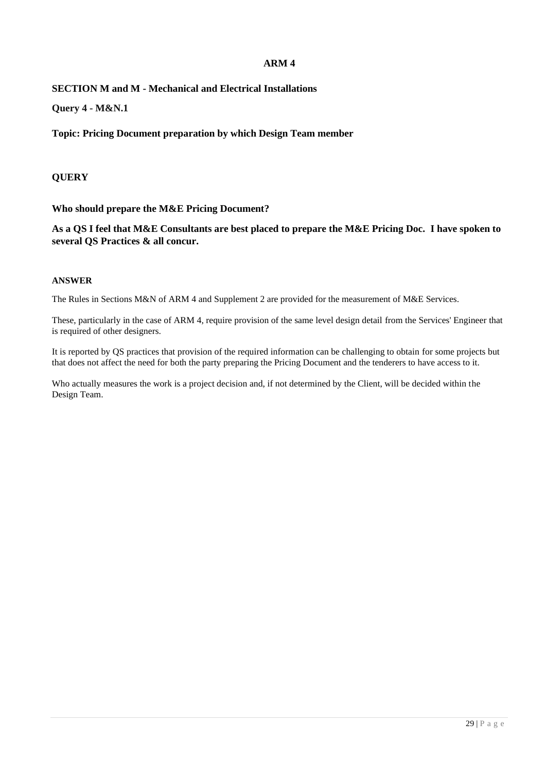# **SECTION M and M - Mechanical and Electrical Installations**

**Query 4 - M&N.1**

**Topic: Pricing Document preparation by which Design Team member**

### **QUERY**

**Who should prepare the M&E Pricing Document?** 

**As a QS I feel that M&E Consultants are best placed to prepare the M&E Pricing Doc. I have spoken to several QS Practices & all concur.** 

#### **ANSWER**

The Rules in Sections M&N of ARM 4 and Supplement 2 are provided for the measurement of M&E Services.

These, particularly in the case of ARM 4, require provision of the same level design detail from the Services' Engineer that is required of other designers.

It is reported by QS practices that provision of the required information can be challenging to obtain for some projects but that does not affect the need for both the party preparing the Pricing Document and the tenderers to have access to it.

Who actually measures the work is a project decision and, if not determined by the Client, will be decided within the Design Team.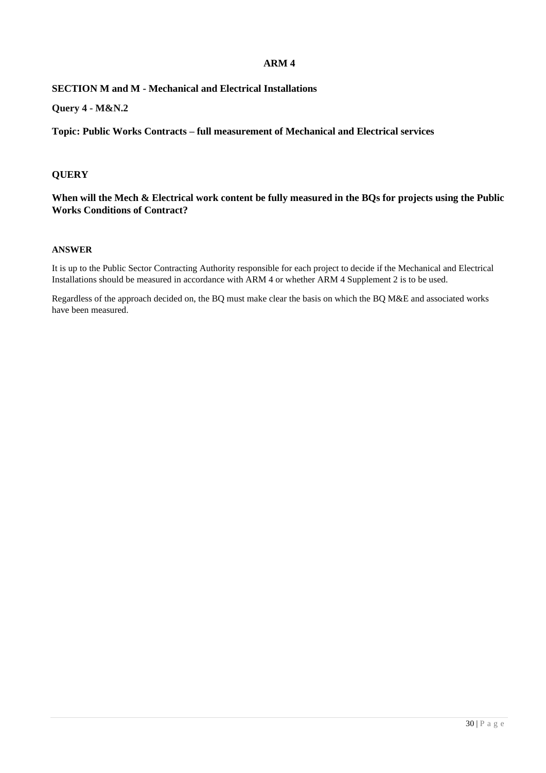# **SECTION M and M - Mechanical and Electrical Installations**

**Query 4 - M&N.2**

**Topic: Public Works Contracts – full measurement of Mechanical and Electrical services**

### **QUERY**

**When will the Mech & Electrical work content be fully measured in the BQs for projects using the Public Works Conditions of Contract?**

#### **ANSWER**

It is up to the Public Sector Contracting Authority responsible for each project to decide if the Mechanical and Electrical Installations should be measured in accordance with ARM 4 or whether ARM 4 Supplement 2 is to be used.

Regardless of the approach decided on, the BQ must make clear the basis on which the BQ M&E and associated works have been measured.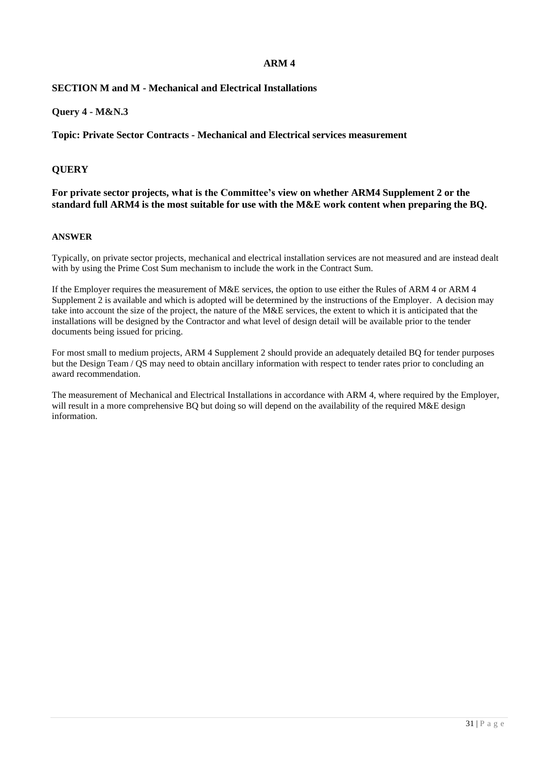### **SECTION M and M - Mechanical and Electrical Installations**

### **Query 4 - M&N.3**

**Topic: Private Sector Contracts - Mechanical and Electrical services measurement**

### **QUERY**

#### **For private sector projects, what is the Committee's view on whether ARM4 Supplement 2 or the standard full ARM4 is the most suitable for use with the M&E work content when preparing the BQ.**

#### **ANSWER**

Typically, on private sector projects, mechanical and electrical installation services are not measured and are instead dealt with by using the Prime Cost Sum mechanism to include the work in the Contract Sum.

If the Employer requires the measurement of M&E services, the option to use either the Rules of ARM 4 or ARM 4 Supplement 2 is available and which is adopted will be determined by the instructions of the Employer. A decision may take into account the size of the project, the nature of the M&E services, the extent to which it is anticipated that the installations will be designed by the Contractor and what level of design detail will be available prior to the tender documents being issued for pricing.

For most small to medium projects, ARM 4 Supplement 2 should provide an adequately detailed BQ for tender purposes but the Design Team / QS may need to obtain ancillary information with respect to tender rates prior to concluding an award recommendation.

The measurement of Mechanical and Electrical Installations in accordance with ARM 4, where required by the Employer, will result in a more comprehensive BQ but doing so will depend on the availability of the required M&E design information.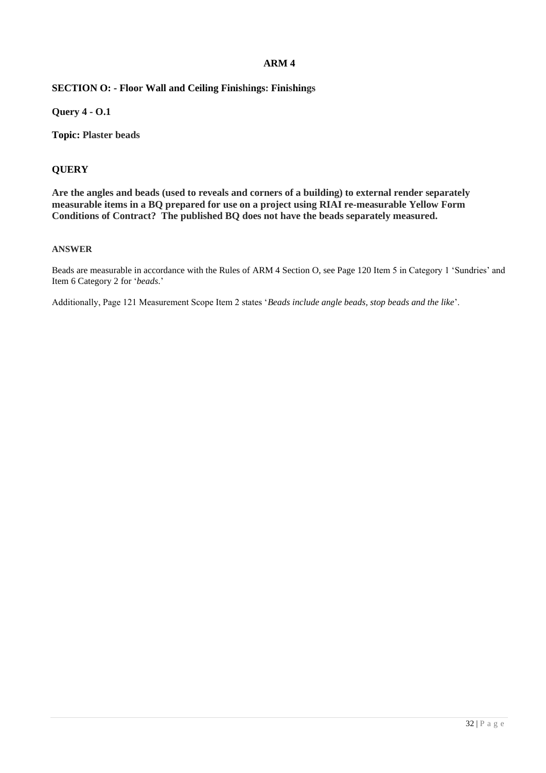# **SECTION O: - Floor Wall and Ceiling Finishings: Finishings**

**Query 4 - O.1**

**Topic: Plaster beads**

# **QUERY**

**Are the angles and beads (used to reveals and corners of a building) to external render separately measurable items in a BQ prepared for use on a project using RIAI re-measurable Yellow Form Conditions of Contract? The published BQ does not have the beads separately measured.**

#### **ANSWER**

Beads are measurable in accordance with the Rules of ARM 4 Section O, see Page 120 Item 5 in Category 1 'Sundries' and Item 6 Category 2 for '*beads*.'

Additionally, Page 121 Measurement Scope Item 2 states '*Beads include angle beads, stop beads and the like*'.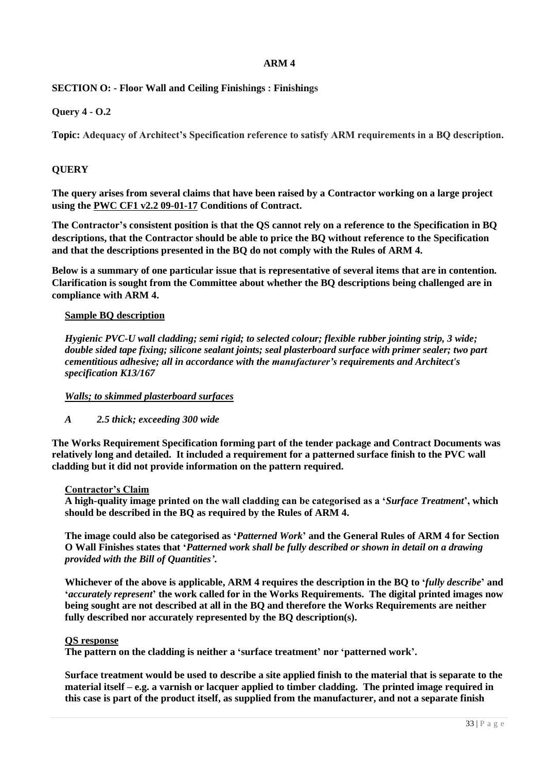# **SECTION O: - Floor Wall and Ceiling Finishings : Finishings**

# **Query 4 - O.2**

**Topic: Adequacy of Architect's Specification reference to satisfy ARM requirements in a BQ description.**

# **QUERY**

**The query arises from several claims that have been raised by a Contractor working on a large project using the PWC CF1 v2.2 09-01-17 Conditions of Contract.**

**The Contractor's consistent position is that the QS cannot rely on a reference to the Specification in BQ descriptions, that the Contractor should be able to price the BQ without reference to the Specification and that the descriptions presented in the BQ do not comply with the Rules of ARM 4.**

**Below is a summary of one particular issue that is representative of several items that are in contention. Clarification is sought from the Committee about whether the BQ descriptions being challenged are in compliance with ARM 4.**

### **Sample BQ description**

*Hygienic PVC-U wall cladding; semi rigid; to selected colour; flexible rubber jointing strip, 3 wide; double sided tape fixing; silicone sealant joints; seal plasterboard surface with primer sealer; two part cementitious adhesive; all in accordance with the manufacturer's requirements and Architect's specification K13/167*

# *Walls; to skimmed plasterboard surfaces*

# *A 2.5 thick; exceeding 300 wide*

**The Works Requirement Specification forming part of the tender package and Contract Documents was relatively long and detailed. It included a requirement for a patterned surface finish to the PVC wall cladding but it did not provide information on the pattern required.**

#### **Contractor's Claim**

**A high-quality image printed on the wall cladding can be categorised as a '***Surface Treatment***', which should be described in the BQ as required by the Rules of ARM 4.**

**The image could also be categorised as '***Patterned Work***' and the General Rules of ARM 4 for Section O Wall Finishes states that '***Patterned work shall be fully described or shown in detail on a drawing provided with the Bill of Quantities'***.**

**Whichever of the above is applicable, ARM 4 requires the description in the BQ to '***fully describe***' and '***accurately represent***' the work called for in the Works Requirements. The digital printed images now being sought are not described at all in the BQ and therefore the Works Requirements are neither fully described nor accurately represented by the BQ description(s).**

#### **QS response**

**The pattern on the cladding is neither a 'surface treatment' nor 'patterned work'.**

**Surface treatment would be used to describe a site applied finish to the material that is separate to the material itself – e.g. a varnish or lacquer applied to timber cladding. The printed image required in this case is part of the product itself, as supplied from the manufacturer, and not a separate finish**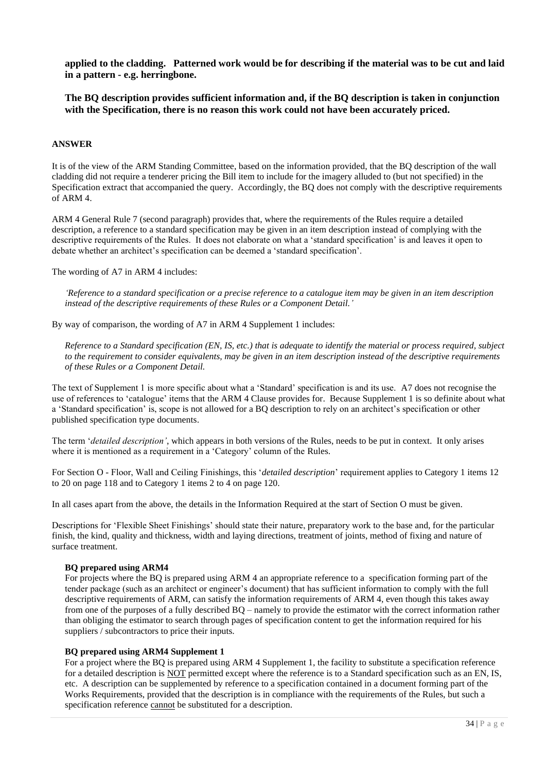**applied to the cladding. Patterned work would be for describing if the material was to be cut and laid in a pattern - e.g. herringbone.**

**The BQ description provides sufficient information and, if the BQ description is taken in conjunction with the Specification, there is no reason this work could not have been accurately priced.**

#### **ANSWER**

It is of the view of the ARM Standing Committee, based on the information provided, that the BQ description of the wall cladding did not require a tenderer pricing the Bill item to include for the imagery alluded to (but not specified) in the Specification extract that accompanied the query. Accordingly, the BQ does not comply with the descriptive requirements of ARM 4.

ARM 4 General Rule 7 (second paragraph) provides that, where the requirements of the Rules require a detailed description, a reference to a standard specification may be given in an item description instead of complying with the descriptive requirements of the Rules. It does not elaborate on what a 'standard specification' is and leaves it open to debate whether an architect's specification can be deemed a 'standard specification'.

The wording of A7 in ARM 4 includes:

*'Reference to a standard specification or a precise reference to a catalogue item may be given in an item description instead of the descriptive requirements of these Rules or a Component Detail.'*

By way of comparison, the wording of A7 in ARM 4 Supplement 1 includes:

*Reference to a Standard specification (EN, IS, etc.) that is adequate to identify the material or process required, subject to the requirement to consider equivalents, may be given in an item description instead of the descriptive requirements of these Rules or a Component Detail.*

The text of Supplement 1 is more specific about what a 'Standard' specification is and its use. A7 does not recognise the use of references to 'catalogue' items that the ARM 4 Clause provides for. Because Supplement 1 is so definite about what a 'Standard specification' is, scope is not allowed for a BQ description to rely on an architect's specification or other published specification type documents.

The term '*detailed description'*, which appears in both versions of the Rules, needs to be put in context. It only arises where it is mentioned as a requirement in a 'Category' column of the Rules.

For Section O - Floor, Wall and Ceiling Finishings, this '*detailed description*' requirement applies to Category 1 items 12 to 20 on page 118 and to Category 1 items 2 to 4 on page 120.

In all cases apart from the above, the details in the Information Required at the start of Section O must be given.

Descriptions for 'Flexible Sheet Finishings' should state their nature, preparatory work to the base and, for the particular finish, the kind, quality and thickness, width and laying directions, treatment of joints, method of fixing and nature of surface treatment.

#### **BQ prepared using ARM4**

For projects where the BQ is prepared using ARM 4 an appropriate reference to a specification forming part of the tender package (such as an architect or engineer's document) that has sufficient information to comply with the full descriptive requirements of ARM, can satisfy the information requirements of ARM 4, even though this takes away from one of the purposes of a fully described BQ – namely to provide the estimator with the correct information rather than obliging the estimator to search through pages of specification content to get the information required for his suppliers / subcontractors to price their inputs.

#### **BQ prepared using ARM4 Supplement 1**

For a project where the BQ is prepared using ARM 4 Supplement 1, the facility to substitute a specification reference for a detailed description is NOT permitted except where the reference is to a Standard specification such as an EN, IS, etc. A description can be supplemented by reference to a specification contained in a document forming part of the Works Requirements, provided that the description is in compliance with the requirements of the Rules, but such a specification reference cannot be substituted for a description.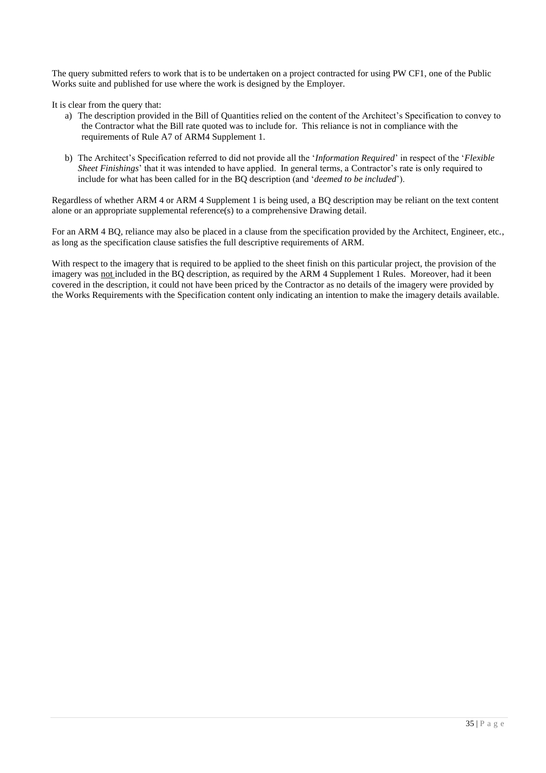The query submitted refers to work that is to be undertaken on a project contracted for using PW CF1, one of the Public Works suite and published for use where the work is designed by the Employer.

It is clear from the query that:

- a) The description provided in the Bill of Quantities relied on the content of the Architect's Specification to convey to the Contractor what the Bill rate quoted was to include for. This reliance is not in compliance with the requirements of Rule A7 of ARM4 Supplement 1.
- b) The Architect's Specification referred to did not provide all the '*Information Required*' in respect of the '*Flexible Sheet Finishings*' that it was intended to have applied. In general terms, a Contractor's rate is only required to include for what has been called for in the BQ description (and '*deemed to be included*').

Regardless of whether ARM 4 or ARM 4 Supplement 1 is being used, a BQ description may be reliant on the text content alone or an appropriate supplemental reference(s) to a comprehensive Drawing detail.

For an ARM 4 BQ, reliance may also be placed in a clause from the specification provided by the Architect, Engineer, etc., as long as the specification clause satisfies the full descriptive requirements of ARM.

With respect to the imagery that is required to be applied to the sheet finish on this particular project, the provision of the imagery was not included in the BQ description, as required by the ARM 4 Supplement 1 Rules. Moreover, had it been covered in the description, it could not have been priced by the Contractor as no details of the imagery were provided by the Works Requirements with the Specification content only indicating an intention to make the imagery details available.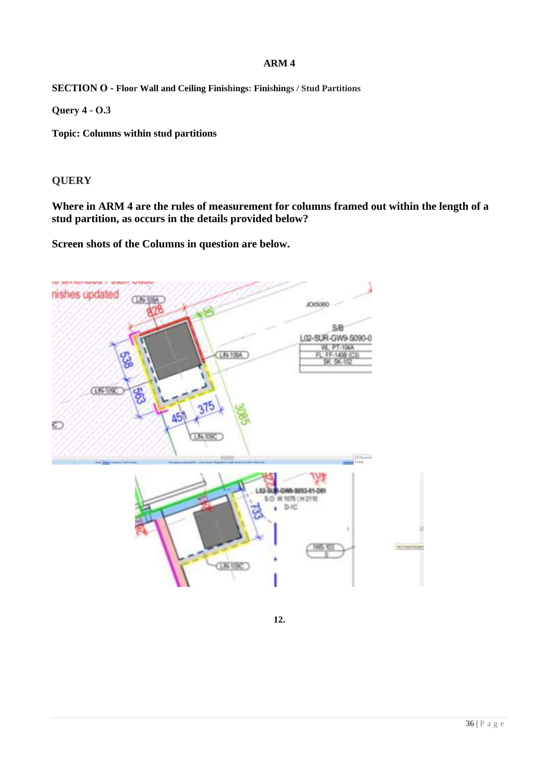**SECTION O - Floor Wall and Ceiling Finishings: Finishings / Stud Partitions**

**Query 4 - O.3**

**Topic: Columns within stud partitions**

# **QUERY**

**Where in ARM 4 are the rules of measurement for columns framed out within the length of a stud partition, as occurs in the details provided below?**

**Screen shots of the Columns in question are below.**



**12.**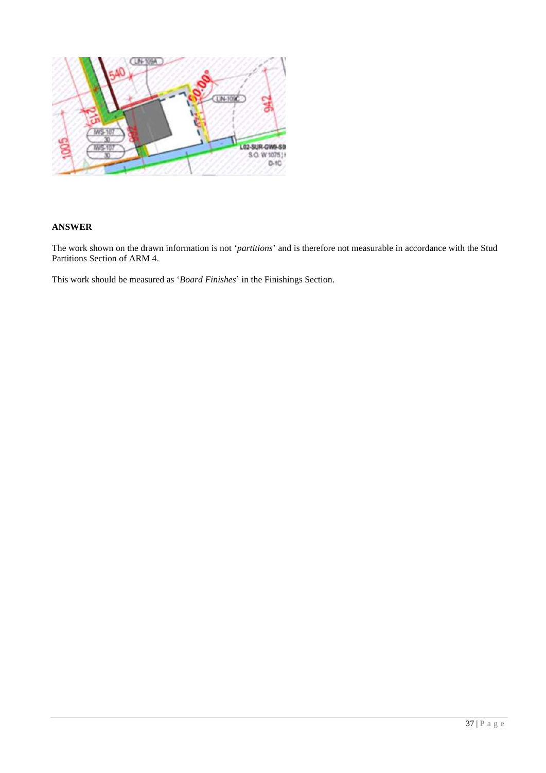

### **ANSWER**

The work shown on the drawn information is not '*partitions*' and is therefore not measurable in accordance with the Stud Partitions Section of ARM 4.

This work should be measured as '*Board Finishes*' in the Finishings Section.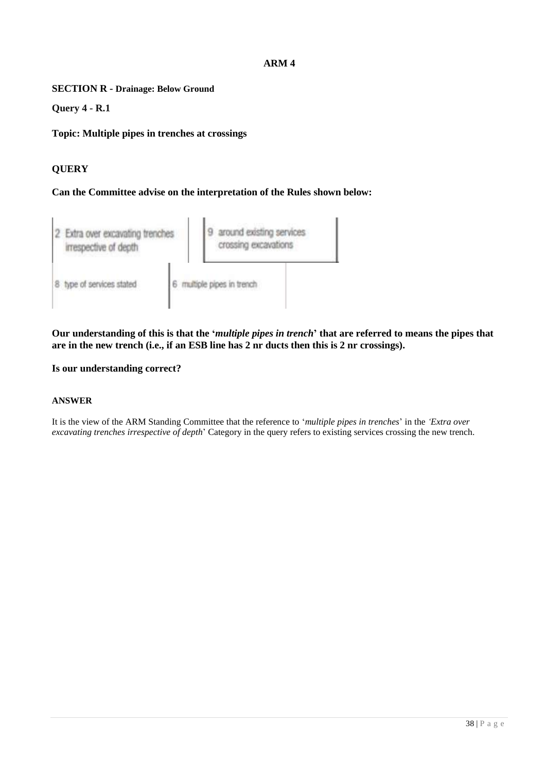**SECTION R - Drainage: Below Ground**

**Query 4 - R.1**

**Topic: Multiple pipes in trenches at crossings**

# **QUERY**

**Can the Committee advise on the interpretation of the Rules shown below:**



**Our understanding of this is that the '***multiple pipes in trench***' that are referred to means the pipes that are in the new trench (i.e., if an ESB line has 2 nr ducts then this is 2 nr crossings).** 

**Is our understanding correct?**

### **ANSWER**

It is the view of the ARM Standing Committee that the reference to '*multiple pipes in trenches*' in the *'Extra over excavating trenches irrespective of depth*' Category in the query refers to existing services crossing the new trench.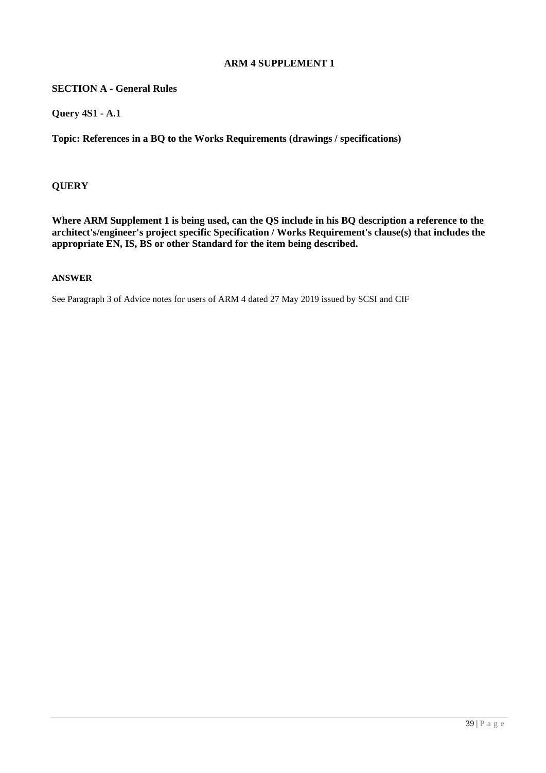### **SECTION A - General Rules**

**Query 4S1 - A.1**

**Topic: References in a BQ to the Works Requirements (drawings / specifications)**

### **QUERY**

**Where ARM Supplement 1 is being used, can the QS include in his BQ description a reference to the architect's/engineer's project specific Specification / Works Requirement's clause(s) that includes the appropriate EN, IS, BS or other Standard for the item being described.**

### **ANSWER**

See Paragraph 3 of Advice notes for users of ARM 4 dated 27 May 2019 issued by SCSI and CIF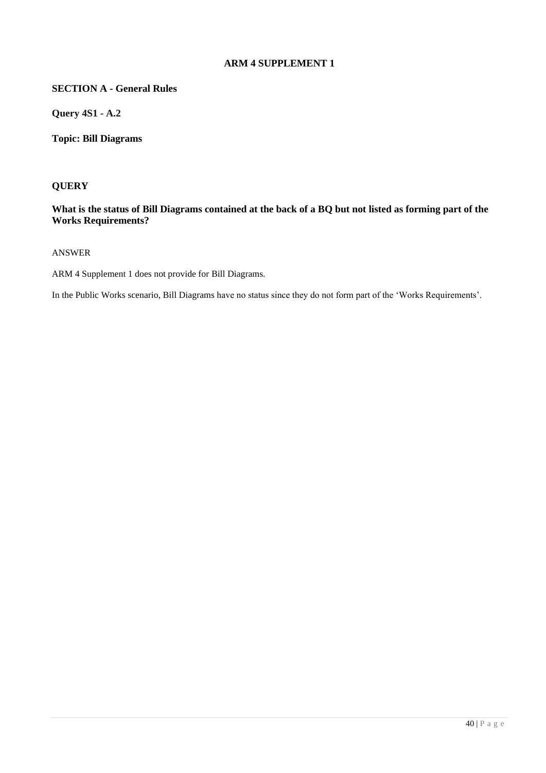# **SECTION A - General Rules**

**Query 4S1 - A.2**

**Topic: Bill Diagrams**

### **QUERY**

### **What is the status of Bill Diagrams contained at the back of a BQ but not listed as forming part of the Works Requirements?**

#### ANSWER

ARM 4 Supplement 1 does not provide for Bill Diagrams.

In the Public Works scenario, Bill Diagrams have no status since they do not form part of the 'Works Requirements'.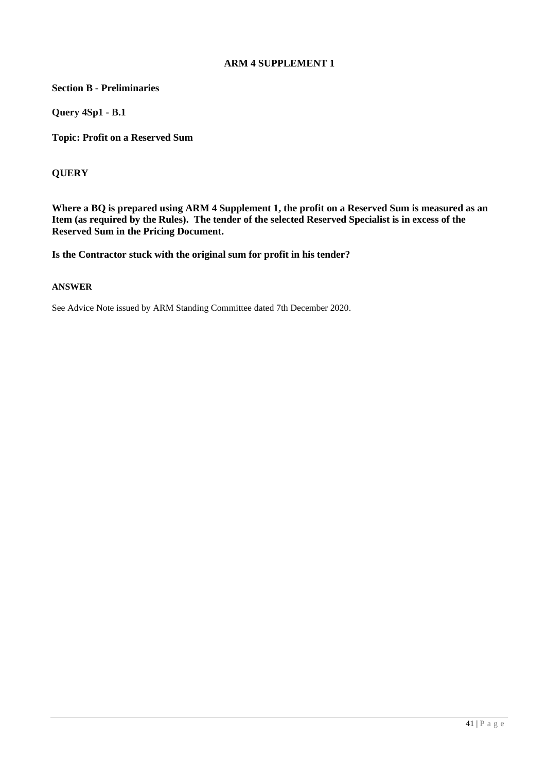**Section B - Preliminaries**

**Query 4Sp1 - B.1**

**Topic: Profit on a Reserved Sum**

### **QUERY**

**Where a BQ is prepared using ARM 4 Supplement 1, the profit on a Reserved Sum is measured as an Item (as required by the Rules). The tender of the selected Reserved Specialist is in excess of the Reserved Sum in the Pricing Document.**

**Is the Contractor stuck with the original sum for profit in his tender?**

#### **ANSWER**

See Advice Note issued by ARM Standing Committee dated 7th December 2020.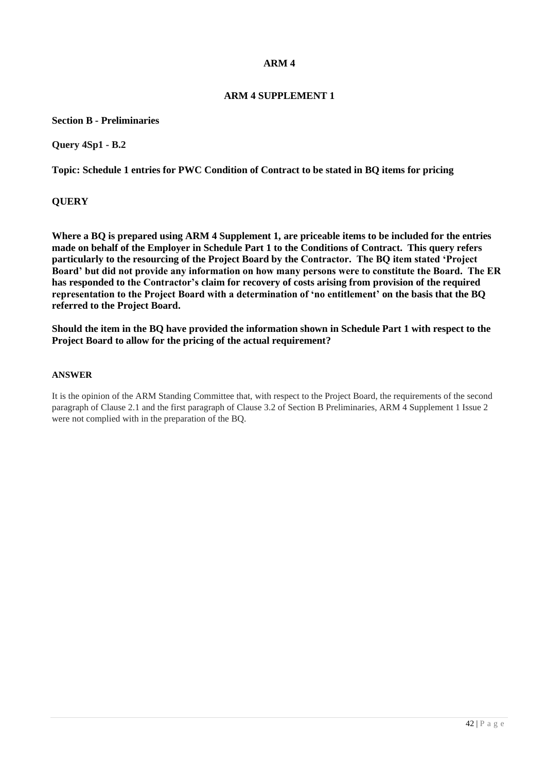# **ARM 4 SUPPLEMENT 1**

**Section B - Preliminaries**

**Query 4Sp1 - B.2**

**Topic: Schedule 1 entries for PWC Condition of Contract to be stated in BQ items for pricing**

**QUERY**

**Where a BQ is prepared using ARM 4 Supplement 1, are priceable items to be included for the entries made on behalf of the Employer in Schedule Part 1 to the Conditions of Contract. This query refers particularly to the resourcing of the Project Board by the Contractor. The BQ item stated 'Project Board' but did not provide any information on how many persons were to constitute the Board. The ER has responded to the Contractor's claim for recovery of costs arising from provision of the required representation to the Project Board with a determination of 'no entitlement' on the basis that the BQ referred to the Project Board.** 

**Should the item in the BQ have provided the information shown in Schedule Part 1 with respect to the Project Board to allow for the pricing of the actual requirement?**

#### **ANSWER**

It is the opinion of the ARM Standing Committee that, with respect to the Project Board, the requirements of the second paragraph of Clause 2.1 and the first paragraph of Clause 3.2 of Section B Preliminaries, ARM 4 Supplement 1 Issue 2 were not complied with in the preparation of the BQ.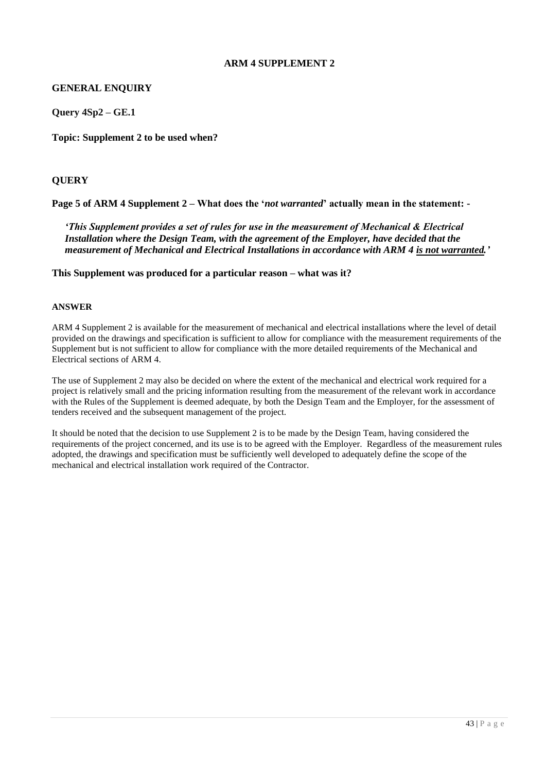### **GENERAL ENQUIRY**

**Query 4Sp2 – GE.1**

**Topic: Supplement 2 to be used when?**

### **QUERY**

**Page 5 of ARM 4 Supplement 2 – What does the '***not warranted***' actually mean in the statement: -**

*'This Supplement provides a set of rules for use in the measurement of Mechanical & Electrical Installation where the Design Team, with the agreement of the Employer, have decided that the measurement of Mechanical and Electrical Installations in accordance with ARM 4 is not warranted.'*

**This Supplement was produced for a particular reason – what was it?**

#### **ANSWER**

ARM 4 Supplement 2 is available for the measurement of mechanical and electrical installations where the level of detail provided on the drawings and specification is sufficient to allow for compliance with the measurement requirements of the Supplement but is not sufficient to allow for compliance with the more detailed requirements of the Mechanical and Electrical sections of ARM 4.

The use of Supplement 2 may also be decided on where the extent of the mechanical and electrical work required for a project is relatively small and the pricing information resulting from the measurement of the relevant work in accordance with the Rules of the Supplement is deemed adequate, by both the Design Team and the Employer, for the assessment of tenders received and the subsequent management of the project.

It should be noted that the decision to use Supplement 2 is to be made by the Design Team, having considered the requirements of the project concerned, and its use is to be agreed with the Employer. Regardless of the measurement rules adopted, the drawings and specification must be sufficiently well developed to adequately define the scope of the mechanical and electrical installation work required of the Contractor.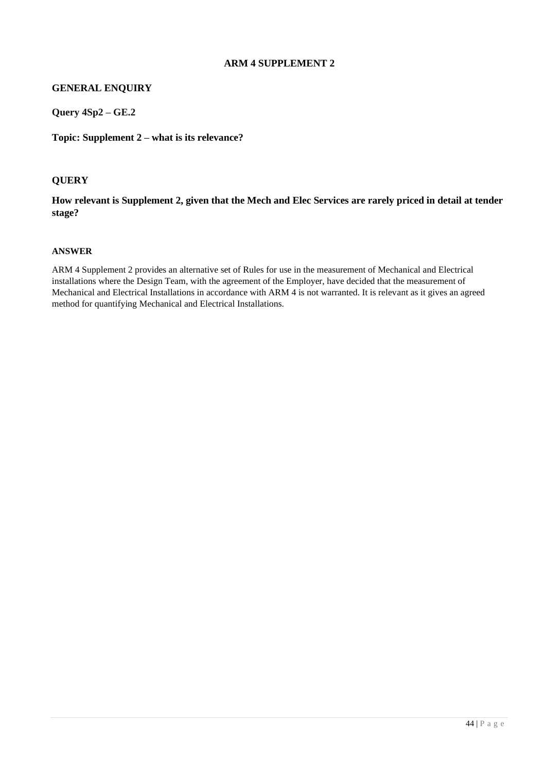# **GENERAL ENQUIRY**

**Query 4Sp2 – GE.2**

**Topic: Supplement 2 – what is its relevance?**

# **QUERY**

# **How relevant is Supplement 2, given that the Mech and Elec Services are rarely priced in detail at tender stage?**

#### **ANSWER**

ARM 4 Supplement 2 provides an alternative set of Rules for use in the measurement of Mechanical and Electrical installations where the Design Team, with the agreement of the Employer, have decided that the measurement of Mechanical and Electrical Installations in accordance with ARM 4 is not warranted. It is relevant as it gives an agreed method for quantifying Mechanical and Electrical Installations.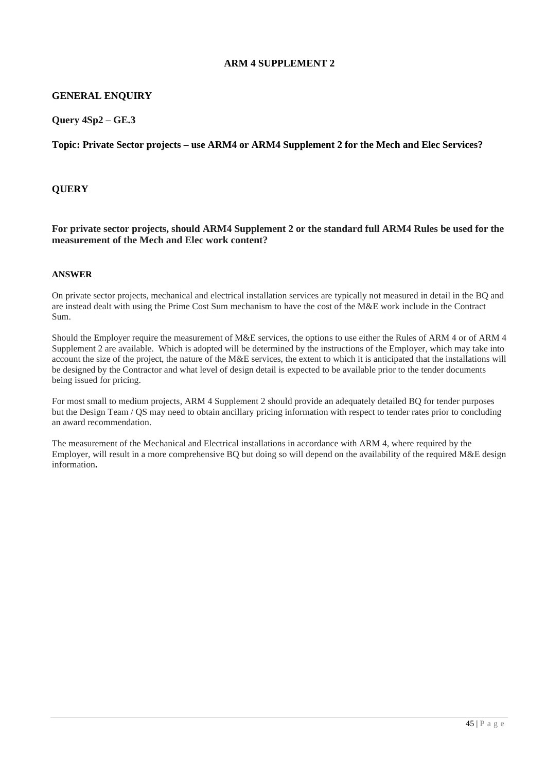### **GENERAL ENQUIRY**

**Query 4Sp2 – GE.3**

**Topic: Private Sector projects – use ARM4 or ARM4 Supplement 2 for the Mech and Elec Services?**

### **QUERY**

**For private sector projects, should ARM4 Supplement 2 or the standard full ARM4 Rules be used for the measurement of the Mech and Elec work content?**

#### **ANSWER**

On private sector projects, mechanical and electrical installation services are typically not measured in detail in the BQ and are instead dealt with using the Prime Cost Sum mechanism to have the cost of the M&E work include in the Contract Sum.

Should the Employer require the measurement of M&E services, the options to use either the Rules of ARM 4 or of ARM 4 Supplement 2 are available. Which is adopted will be determined by the instructions of the Employer, which may take into account the size of the project, the nature of the M&E services, the extent to which it is anticipated that the installations will be designed by the Contractor and what level of design detail is expected to be available prior to the tender documents being issued for pricing.

For most small to medium projects, ARM 4 Supplement 2 should provide an adequately detailed BQ for tender purposes but the Design Team / QS may need to obtain ancillary pricing information with respect to tender rates prior to concluding an award recommendation.

The measurement of the Mechanical and Electrical installations in accordance with ARM 4, where required by the Employer, will result in a more comprehensive BQ but doing so will depend on the availability of the required M&E design information**.**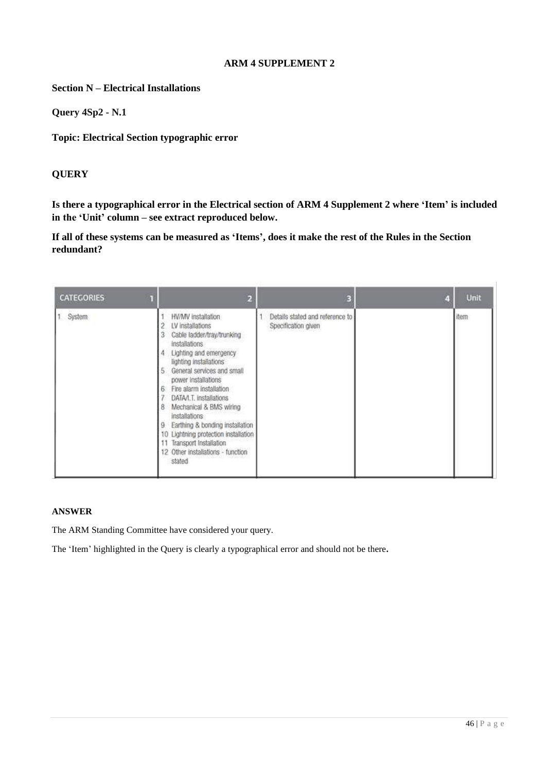**Section N – Electrical Installations**

**Query 4Sp2 - N.1**

**Topic: Electrical Section typographic error**

# **QUERY**

**Is there a typographical error in the Electrical section of ARM 4 Supplement 2 where 'Item' is included in the 'Unit' column – see extract reproduced below.** 

**If all of these systems can be measured as 'Items', does it make the rest of the Rules in the Section redundant?**

| <b>CATEGORIES</b> |                                                                                                                                                                                                                                                                                                                                                                                                                                                                      |                                                        | Unit  |
|-------------------|----------------------------------------------------------------------------------------------------------------------------------------------------------------------------------------------------------------------------------------------------------------------------------------------------------------------------------------------------------------------------------------------------------------------------------------------------------------------|--------------------------------------------------------|-------|
| 1 System          | HV/MV installation<br>LV installations<br>Cable ladder/tray/trunking<br>installations<br>Lighting and emergency<br>lighting installations<br>General services and small<br>÷,<br>power installations<br>Fire alarm installation<br>6<br>DATA/I.T. installations<br>Mechanical & BMS wiring<br>8<br>installations<br>Earthing & bonding installation<br>10 Lightning protection installation<br>Transport Installation<br>12 Other installations - function<br>stated | Details stated and reference to<br>Specification given | item- |

# **ANSWER**

The ARM Standing Committee have considered your query.

The 'Item' highlighted in the Query is clearly a typographical error and should not be there**.**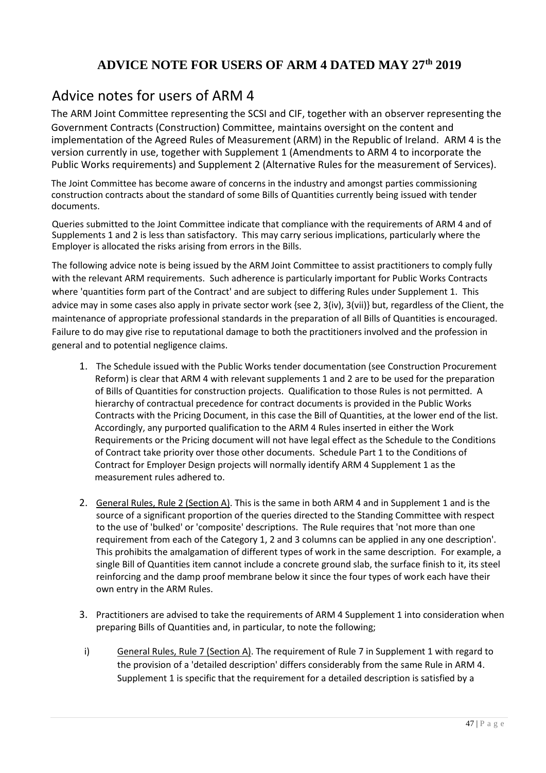# **ADVICE NOTE FOR USERS OF ARM 4 DATED MAY 27th 2019**

# Advice notes for users of ARM 4

The ARM Joint Committee representing the SCSI and CIF, together with an observer representing the Government Contracts (Construction) Committee, maintains oversight on the content and implementation of the Agreed Rules of Measurement (ARM) in the Republic of Ireland. ARM 4 is the version currently in use, together with Supplement 1 (Amendments to ARM 4 to incorporate the Public Works requirements) and Supplement 2 (Alternative Rules for the measurement of Services).

The Joint Committee has become aware of concerns in the industry and amongst parties commissioning construction contracts about the standard of some Bills of Quantities currently being issued with tender documents.

Queries submitted to the Joint Committee indicate that compliance with the requirements of ARM 4 and of Supplements 1 and 2 is less than satisfactory. This may carry serious implications, particularly where the Employer is allocated the risks arising from errors in the Bills.

The following advice note is being issued by the ARM Joint Committee to assist practitioners to comply fully with the relevant ARM requirements. Such adherence is particularly important for Public Works Contracts where 'quantities form part of the Contract' and are subject to differing Rules under Supplement 1. This advice may in some cases also apply in private sector work {see 2, 3(iv), 3(vii)} but, regardless of the Client, the maintenance of appropriate professional standards in the preparation of all Bills of Quantities is encouraged. Failure to do may give rise to reputational damage to both the practitioners involved and the profession in general and to potential negligence claims.

- 1. The Schedule issued with the Public Works tender documentation (see Construction Procurement Reform) is clear that ARM 4 with relevant supplements 1 and 2 are to be used for the preparation of Bills of Quantities for construction projects. Qualification to those Rules is not permitted. A hierarchy of contractual precedence for contract documents is provided in the Public Works Contracts with the Pricing Document, in this case the Bill of Quantities, at the lower end of the list. Accordingly, any purported qualification to the ARM 4 Rules inserted in either the Work Requirements or the Pricing document will not have legal effect as the Schedule to the Conditions of Contract take priority over those other documents. Schedule Part 1 to the Conditions of Contract for Employer Design projects will normally identify ARM 4 Supplement 1 as the measurement rules adhered to.
- 2. General Rules, Rule 2 (Section A). This is the same in both ARM 4 and in Supplement 1 and is the source of a significant proportion of the queries directed to the Standing Committee with respect to the use of 'bulked' or 'composite' descriptions. The Rule requires that 'not more than one requirement from each of the Category 1, 2 and 3 columns can be applied in any one description'. This prohibits the amalgamation of different types of work in the same description. For example, a single Bill of Quantities item cannot include a concrete ground slab, the surface finish to it, its steel reinforcing and the damp proof membrane below it since the four types of work each have their own entry in the ARM Rules.
- 3. Practitioners are advised to take the requirements of ARM 4 Supplement 1 into consideration when preparing Bills of Quantities and, in particular, to note the following;
- i) General Rules, Rule 7 (Section A). The requirement of Rule 7 in Supplement 1 with regard to the provision of a 'detailed description' differs considerably from the same Rule in ARM 4. Supplement 1 is specific that the requirement for a detailed description is satisfied by a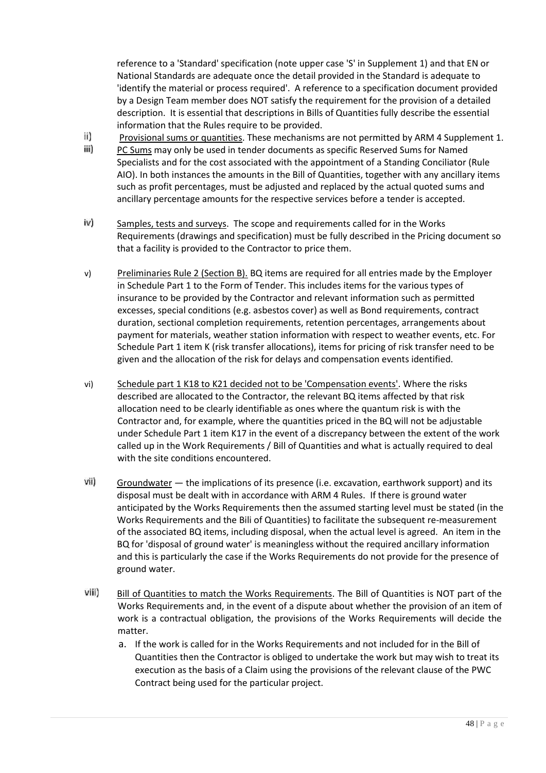reference to a 'Standard' specification (note upper case 'S' in Supplement 1) and that EN or National Standards are adequate once the detail provided in the Standard is adequate to 'identify the material or process required'. A reference to a specification document provided by a Design Team member does NOT satisfy the requirement for the provision of a detailed description. It is essential that descriptions in Bills of Quantities fully describe the essential information that the Rules require to be provided.

- ii) Provisional sums or quantities. These mechanisms are not permitted by ARM 4 Supplement 1.
- iii) PC Sums may only be used in tender documents as specific Reserved Sums for Named Specialists and for the cost associated with the appointment of a Standing Conciliator (Rule AIO). In both instances the amounts in the Bill of Quantities, together with any ancillary items such as profit percentages, must be adjusted and replaced by the actual quoted sums and ancillary percentage amounts for the respective services before a tender is accepted.
- iv) Samples, tests and surveys. The scope and requirements called for in the Works Requirements (drawings and specification) must be fully described in the Pricing document so that a facility is provided to the Contractor to price them.
- v) Preliminaries Rule 2 (Section B). BQ items are required for all entries made by the Employer in Schedule Part 1 to the Form of Tender. This includes items for the various types of insurance to be provided by the Contractor and relevant information such as permitted excesses, special conditions (e.g. asbestos cover) as well as Bond requirements, contract duration, sectional completion requirements, retention percentages, arrangements about payment for materials, weather station information with respect to weather events, etc. For Schedule Part 1 item K (risk transfer allocations), items for pricing of risk transfer need to be given and the allocation of the risk for delays and compensation events identified.
- vi) Schedule part 1 K18 to K21 decided not to be 'Compensation events'. Where the risks described are allocated to the Contractor, the relevant BQ items affected by that risk allocation need to be clearly identifiable as ones where the quantum risk is with the Contractor and, for example, where the quantities priced in the BQ will not be adjustable under Schedule Part 1 item K17 in the event of a discrepancy between the extent of the work called up in the Work Requirements / Bill of Quantities and what is actually required to deal with the site conditions encountered.
- vii) Groundwater — the implications of its presence (i.e. excavation, earthwork support) and its disposal must be dealt with in accordance with ARM 4 Rules. If there is ground water anticipated by the Works Requirements then the assumed starting level must be stated (in the Works Requirements and the Bili of Quantities) to facilitate the subsequent re-measurement of the associated BQ items, including disposal, when the actual level is agreed. An item in the BQ for 'disposal of ground water' is meaningless without the required ancillary information and this is particularly the case if the Works Requirements do not provide for the presence of ground water.
- viii) Bill of Quantities to match the Works Requirements. The Bill of Quantities is NOT part of the Works Requirements and, in the event of a dispute about whether the provision of an item of work is a contractual obligation, the provisions of the Works Requirements will decide the matter.
	- a. If the work is called for in the Works Requirements and not included for in the Bill of Quantities then the Contractor is obliged to undertake the work but may wish to treat its execution as the basis of a Claim using the provisions of the relevant clause of the PWC Contract being used for the particular project.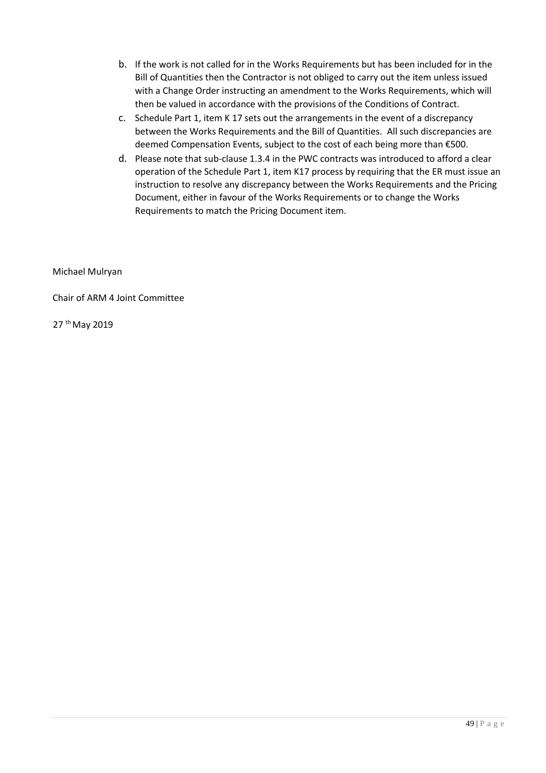- b. If the work is not called for in the Works Requirements but has been included for in the Bill of Quantities then the Contractor is not obliged to carry out the item unless issued with a Change Order instructing an amendment to the Works Requirements, which will then be valued in accordance with the provisions of the Conditions of Contract.
- c. Schedule Part 1, item K 17 sets out the arrangements in the event of a discrepancy between the Works Requirements and the Bill of Quantities. All such discrepancies are deemed Compensation Events, subject to the cost of each being more than €500.
- d. Please note that sub-clause 1.3.4 in the PWC contracts was introduced to afford a clear operation of the Schedule Part 1, item K17 process by requiring that the ER must issue an instruction to resolve any discrepancy between the Works Requirements and the Pricing Document, either in favour of the Works Requirements or to change the Works Requirements to match the Pricing Document item.

Michael Mulryan

Chair of ARM 4 Joint Committee

27 <sup>th</sup> May 2019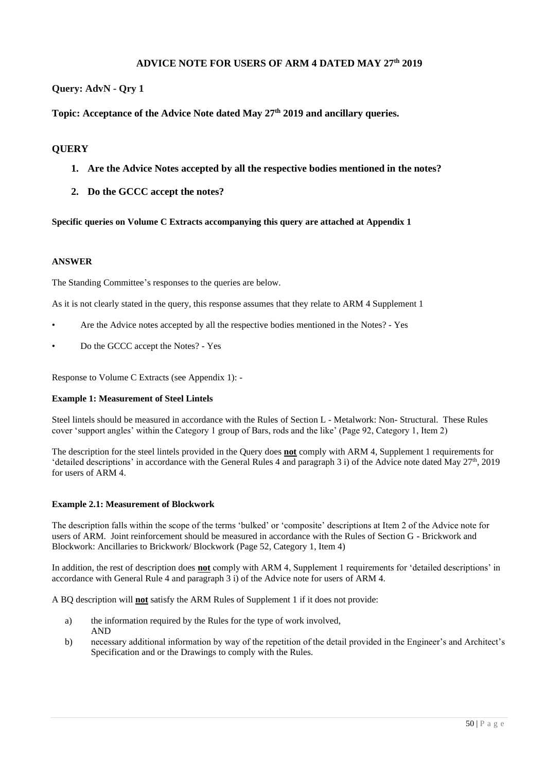#### **ADVICE NOTE FOR USERS OF ARM 4 DATED MAY 27th 2019**

#### **Query: AdvN - Qry 1**

# **Topic: Acceptance of the Advice Note dated May 27th 2019 and ancillary queries.**

#### **QUERY**

- **1. Are the Advice Notes accepted by all the respective bodies mentioned in the notes?**
- **2. Do the GCCC accept the notes?**

**Specific queries on Volume C Extracts accompanying this query are attached at Appendix 1**

#### **ANSWER**

The Standing Committee's responses to the queries are below.

As it is not clearly stated in the query, this response assumes that they relate to ARM 4 Supplement 1

- Are the Advice notes accepted by all the respective bodies mentioned in the Notes? Yes
- Do the GCCC accept the Notes? Yes

Response to Volume C Extracts (see Appendix 1): -

#### **Example 1: Measurement of Steel Lintels**

Steel lintels should be measured in accordance with the Rules of Section L - Metalwork: Non- Structural. These Rules cover 'support angles' within the Category 1 group of Bars, rods and the like' (Page 92, Category 1, Item 2)

The description for the steel lintels provided in the Query does **not** comply with ARM 4, Supplement 1 requirements for 'detailed descriptions' in accordance with the General Rules 4 and paragraph 3 i) of the Advice note dated May  $27<sup>th</sup>$ , 2019 for users of ARM 4.

#### **Example 2.1: Measurement of Blockwork**

The description falls within the scope of the terms 'bulked' or 'composite' descriptions at Item 2 of the Advice note for users of ARM. Joint reinforcement should be measured in accordance with the Rules of Section G - Brickwork and Blockwork: Ancillaries to Brickwork/ Blockwork (Page 52, Category 1, Item 4)

In addition, the rest of description does **not** comply with ARM 4, Supplement 1 requirements for 'detailed descriptions' in accordance with General Rule 4 and paragraph 3 i) of the Advice note for users of ARM 4.

A BQ description will **not** satisfy the ARM Rules of Supplement 1 if it does not provide:

- a) the information required by the Rules for the type of work involved, AND
- b) necessary additional information by way of the repetition of the detail provided in the Engineer's and Architect's Specification and or the Drawings to comply with the Rules.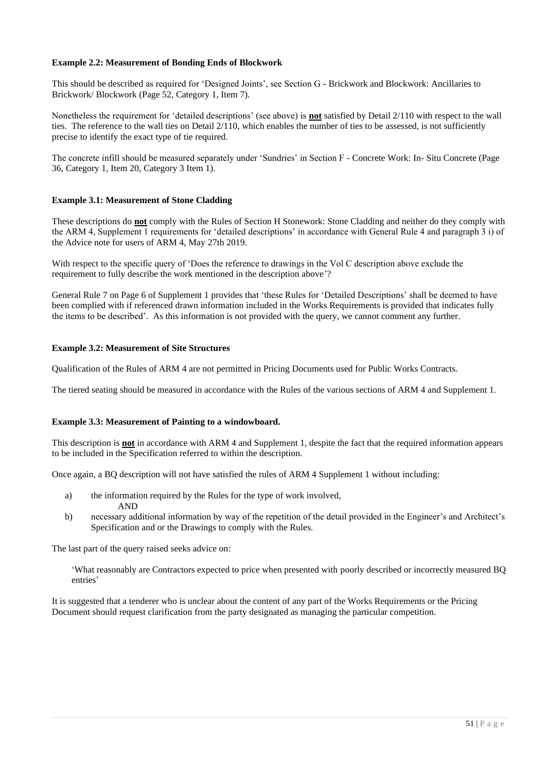#### **Example 2.2: Measurement of Bonding Ends of Blockwork**

This should be described as required for 'Designed Joints', see Section G - Brickwork and Blockwork: Ancillaries to Brickwork/ Blockwork (Page 52, Category 1, Item 7).

Nonetheless the requirement for 'detailed descriptions' (see above) is **not** satisfied by Detail 2/110 with respect to the wall ties. The reference to the wall ties on Detail 2/110, which enables the number of ties to be assessed, is not sufficiently precise to identify the exact type of tie required.

The concrete infill should be measured separately under 'Sundries' in Section F - Concrete Work: In- Situ Concrete (Page 36, Category 1, Item 20, Category 3 Item 1).

#### **Example 3.1: Measurement of Stone Cladding**

These descriptions do **not** comply with the Rules of Section H Stonework: Stone Cladding and neither do they comply with the ARM 4, Supplement 1 requirements for 'detailed descriptions' in accordance with General Rule 4 and paragraph 3 i) of the Advice note for users of ARM 4, May 27th 2019.

With respect to the specific query of 'Does the reference to drawings in the Vol C description above exclude the requirement to fully describe the work mentioned in the description above'?

General Rule 7 on Page 6 of Supplement 1 provides that 'these Rules for 'Detailed Descriptions' shall be deemed to have been complied with if referenced drawn information included in the Works Requirements is provided that indicates fully the items to be described'. As this information is not provided with the query, we cannot comment any further.

#### **Example 3.2: Measurement of Site Structures**

Qualification of the Rules of ARM 4 are not permitted in Pricing Documents used for Public Works Contracts.

The tiered seating should be measured in accordance with the Rules of the various sections of ARM 4 and Supplement 1.

#### **Example 3.3: Measurement of Painting to a windowboard.**

This description is **not** in accordance with ARM 4 and Supplement 1, despite the fact that the required information appears to be included in the Specification referred to within the description.

Once again, a BQ description will not have satisfied the rules of ARM 4 Supplement 1 without including:

- a) the information required by the Rules for the type of work involved, AND
- b) necessary additional information by way of the repetition of the detail provided in the Engineer's and Architect's Specification and or the Drawings to comply with the Rules.

The last part of the query raised seeks advice on:

'What reasonably are Contractors expected to price when presented with poorly described or incorrectly measured BQ entries'

It is suggested that a tenderer who is unclear about the content of any part of the Works Requirements or the Pricing Document should request clarification from the party designated as managing the particular competition.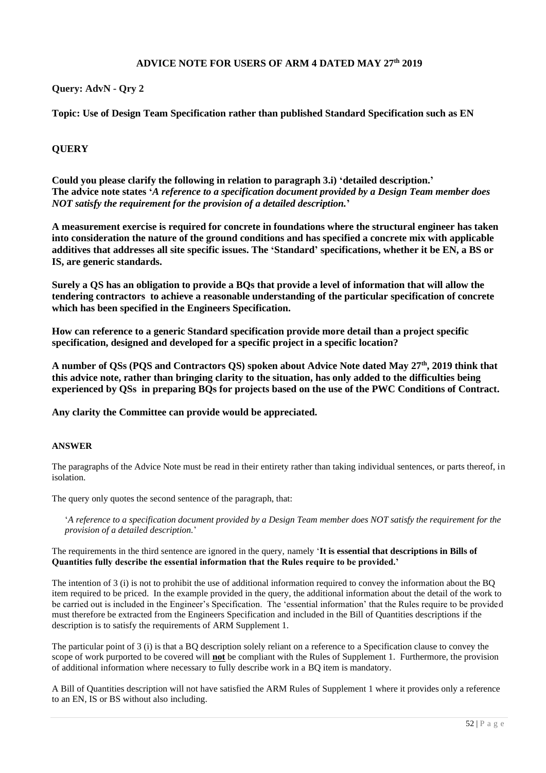#### **ADVICE NOTE FOR USERS OF ARM 4 DATED MAY 27th 2019**

#### **Query: AdvN - Qry 2**

**Topic: Use of Design Team Specification rather than published Standard Specification such as EN**

#### **QUERY**

**Could you please clarify the following in relation to paragraph 3.i) 'detailed description.' The advice note states '***A reference to a specification document provided by a Design Team member does NOT satisfy the requirement for the provision of a detailed description.***'**

**A measurement exercise is required for concrete in foundations where the structural engineer has taken into consideration the nature of the ground conditions and has specified a concrete mix with applicable additives that addresses all site specific issues. The 'Standard' specifications, whether it be EN, a BS or IS, are generic standards.**

**Surely a QS has an obligation to provide a BQs that provide a level of information that will allow the tendering contractors to achieve a reasonable understanding of the particular specification of concrete which has been specified in the Engineers Specification.**

**How can reference to a generic Standard specification provide more detail than a project specific specification, designed and developed for a specific project in a specific location?**

**A number of QSs (PQS and Contractors QS) spoken about Advice Note dated May 27th , 2019 think that this advice note, rather than bringing clarity to the situation, has only added to the difficulties being experienced by QSs in preparing BQs for projects based on the use of the PWC Conditions of Contract.**

**Any clarity the Committee can provide would be appreciated.**

#### **ANSWER**

The paragraphs of the Advice Note must be read in their entirety rather than taking individual sentences, or parts thereof, in isolation.

The query only quotes the second sentence of the paragraph, that:

'*A reference to a specification document provided by a Design Team member does NOT satisfy the requirement for the provision of a detailed description.*'

#### The requirements in the third sentence are ignored in the query, namely '**It is essential that descriptions in Bills of Quantities fully describe the essential information that the Rules require to be provided.'**

The intention of 3 (i) is not to prohibit the use of additional information required to convey the information about the BQ item required to be priced. In the example provided in the query, the additional information about the detail of the work to be carried out is included in the Engineer's Specification. The 'essential information' that the Rules require to be provided must therefore be extracted from the Engineers Specification and included in the Bill of Quantities descriptions if the description is to satisfy the requirements of ARM Supplement 1.

The particular point of 3 (i) is that a BQ description solely reliant on a reference to a Specification clause to convey the scope of work purported to be covered will **not** be compliant with the Rules of Supplement 1. Furthermore, the provision of additional information where necessary to fully describe work in a BQ item is mandatory.

A Bill of Quantities description will not have satisfied the ARM Rules of Supplement 1 where it provides only a reference to an EN, IS or BS without also including.